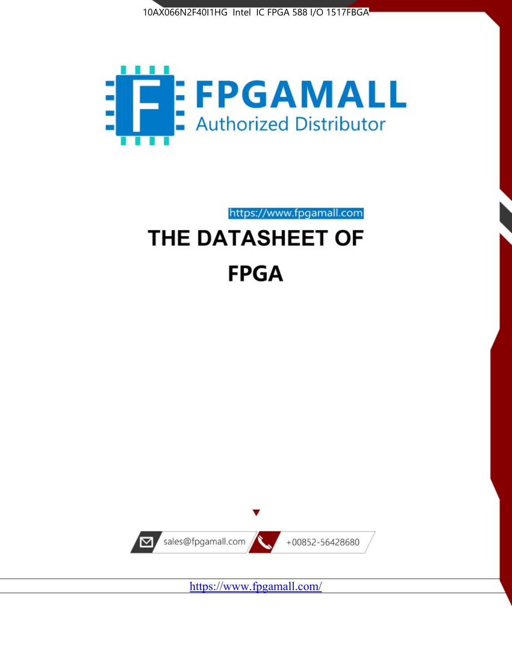



https://www.fpgamall.com THE DATASHEET OF

# **FPGA**



<https://www.fpgamall.com/>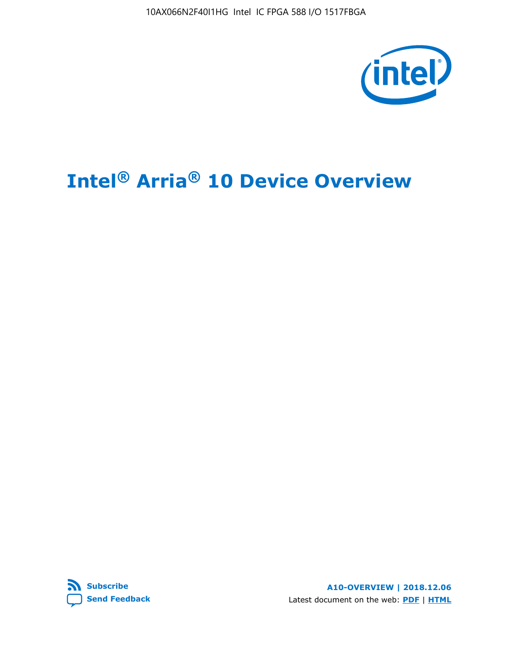10AX066N2F40I1HG Intel IC FPGA 588 I/O 1517FBGA



# **Intel® Arria® 10 Device Overview**



**A10-OVERVIEW | 2018.12.06** Latest document on the web: **[PDF](https://www.intel.com/content/dam/www/programmable/us/en/pdfs/literature/hb/arria-10/a10_overview.pdf)** | **[HTML](https://www.intel.com/content/www/us/en/programmable/documentation/sam1403480274650.html)**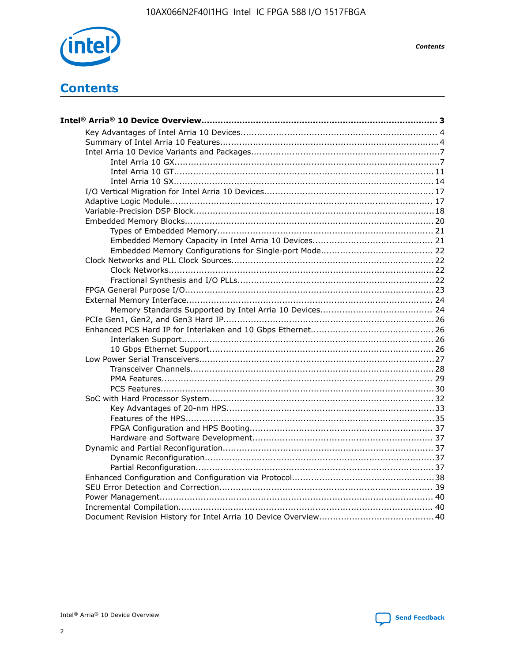

**Contents** 

# **Contents**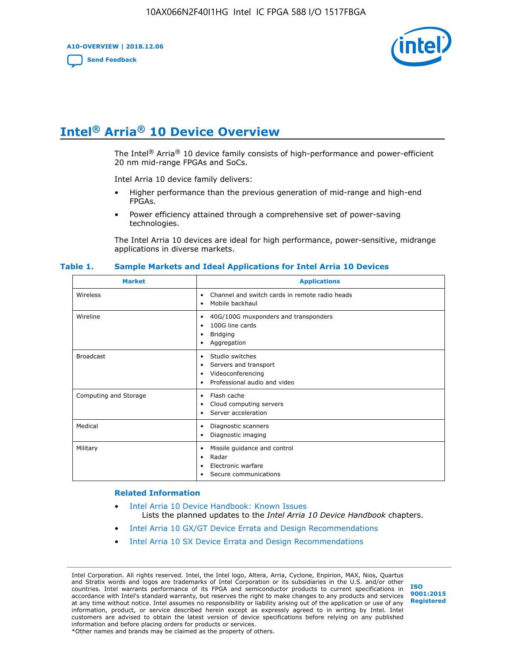**A10-OVERVIEW | 2018.12.06**

**[Send Feedback](mailto:FPGAtechdocfeedback@intel.com?subject=Feedback%20on%20Intel%20Arria%2010%20Device%20Overview%20(A10-OVERVIEW%202018.12.06)&body=We%20appreciate%20your%20feedback.%20In%20your%20comments,%20also%20specify%20the%20page%20number%20or%20paragraph.%20Thank%20you.)**



# **Intel® Arria® 10 Device Overview**

The Intel<sup>®</sup> Arria<sup>®</sup> 10 device family consists of high-performance and power-efficient 20 nm mid-range FPGAs and SoCs.

Intel Arria 10 device family delivers:

- Higher performance than the previous generation of mid-range and high-end FPGAs.
- Power efficiency attained through a comprehensive set of power-saving technologies.

The Intel Arria 10 devices are ideal for high performance, power-sensitive, midrange applications in diverse markets.

| <b>Market</b>         | <b>Applications</b>                                                                                               |
|-----------------------|-------------------------------------------------------------------------------------------------------------------|
| Wireless              | Channel and switch cards in remote radio heads<br>٠<br>Mobile backhaul<br>٠                                       |
| Wireline              | 40G/100G muxponders and transponders<br>٠<br>100G line cards<br>٠<br><b>Bridging</b><br>٠<br>Aggregation<br>٠     |
| <b>Broadcast</b>      | Studio switches<br>٠<br>Servers and transport<br>٠<br>Videoconferencing<br>٠<br>Professional audio and video<br>٠ |
| Computing and Storage | Flash cache<br>٠<br>Cloud computing servers<br>٠<br>Server acceleration<br>٠                                      |
| Medical               | Diagnostic scanners<br>٠<br>Diagnostic imaging<br>٠                                                               |
| Military              | Missile guidance and control<br>٠<br>Radar<br>٠<br>Electronic warfare<br>٠<br>Secure communications<br>٠          |

#### **Table 1. Sample Markets and Ideal Applications for Intel Arria 10 Devices**

#### **Related Information**

- [Intel Arria 10 Device Handbook: Known Issues](http://www.altera.com/support/kdb/solutions/rd07302013_646.html) Lists the planned updates to the *Intel Arria 10 Device Handbook* chapters.
- [Intel Arria 10 GX/GT Device Errata and Design Recommendations](https://www.intel.com/content/www/us/en/programmable/documentation/agz1493851706374.html#yqz1494433888646)
- [Intel Arria 10 SX Device Errata and Design Recommendations](https://www.intel.com/content/www/us/en/programmable/documentation/cru1462832385668.html#cru1462832558642)

Intel Corporation. All rights reserved. Intel, the Intel logo, Altera, Arria, Cyclone, Enpirion, MAX, Nios, Quartus and Stratix words and logos are trademarks of Intel Corporation or its subsidiaries in the U.S. and/or other countries. Intel warrants performance of its FPGA and semiconductor products to current specifications in accordance with Intel's standard warranty, but reserves the right to make changes to any products and services at any time without notice. Intel assumes no responsibility or liability arising out of the application or use of any information, product, or service described herein except as expressly agreed to in writing by Intel. Intel customers are advised to obtain the latest version of device specifications before relying on any published information and before placing orders for products or services. \*Other names and brands may be claimed as the property of others.

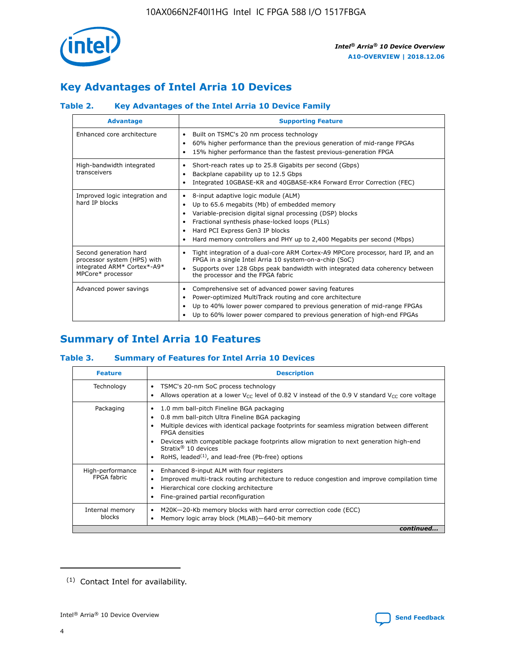

# **Key Advantages of Intel Arria 10 Devices**

# **Table 2. Key Advantages of the Intel Arria 10 Device Family**

| <b>Advantage</b>                                                                                          | <b>Supporting Feature</b>                                                                                                                                                                                                                                                                                                |
|-----------------------------------------------------------------------------------------------------------|--------------------------------------------------------------------------------------------------------------------------------------------------------------------------------------------------------------------------------------------------------------------------------------------------------------------------|
| Enhanced core architecture                                                                                | Built on TSMC's 20 nm process technology<br>٠<br>60% higher performance than the previous generation of mid-range FPGAs<br>٠<br>15% higher performance than the fastest previous-generation FPGA<br>٠                                                                                                                    |
| High-bandwidth integrated<br>transceivers                                                                 | Short-reach rates up to 25.8 Gigabits per second (Gbps)<br>٠<br>Backplane capability up to 12.5 Gbps<br>٠<br>Integrated 10GBASE-KR and 40GBASE-KR4 Forward Error Correction (FEC)<br>٠                                                                                                                                   |
| Improved logic integration and<br>hard IP blocks                                                          | 8-input adaptive logic module (ALM)<br>٠<br>Up to 65.6 megabits (Mb) of embedded memory<br>٠<br>Variable-precision digital signal processing (DSP) blocks<br>Fractional synthesis phase-locked loops (PLLs)<br>Hard PCI Express Gen3 IP blocks<br>Hard memory controllers and PHY up to 2,400 Megabits per second (Mbps) |
| Second generation hard<br>processor system (HPS) with<br>integrated ARM* Cortex*-A9*<br>MPCore* processor | Tight integration of a dual-core ARM Cortex-A9 MPCore processor, hard IP, and an<br>٠<br>FPGA in a single Intel Arria 10 system-on-a-chip (SoC)<br>Supports over 128 Gbps peak bandwidth with integrated data coherency between<br>$\bullet$<br>the processor and the FPGA fabric                                        |
| Advanced power savings                                                                                    | Comprehensive set of advanced power saving features<br>٠<br>Power-optimized MultiTrack routing and core architecture<br>٠<br>Up to 40% lower power compared to previous generation of mid-range FPGAs<br>٠<br>Up to 60% lower power compared to previous generation of high-end FPGAs                                    |

# **Summary of Intel Arria 10 Features**

## **Table 3. Summary of Features for Intel Arria 10 Devices**

| <b>Feature</b>                  | <b>Description</b>                                                                                                                                                                                                                                                                                                                                                                                           |
|---------------------------------|--------------------------------------------------------------------------------------------------------------------------------------------------------------------------------------------------------------------------------------------------------------------------------------------------------------------------------------------------------------------------------------------------------------|
| Technology                      | TSMC's 20-nm SoC process technology<br>Allows operation at a lower $V_{\text{CC}}$ level of 0.82 V instead of the 0.9 V standard $V_{\text{CC}}$ core voltage                                                                                                                                                                                                                                                |
| Packaging                       | 1.0 mm ball-pitch Fineline BGA packaging<br>٠<br>0.8 mm ball-pitch Ultra Fineline BGA packaging<br>Multiple devices with identical package footprints for seamless migration between different<br><b>FPGA</b> densities<br>Devices with compatible package footprints allow migration to next generation high-end<br>Stratix <sup>®</sup> 10 devices<br>RoHS, leaded $(1)$ , and lead-free (Pb-free) options |
| High-performance<br>FPGA fabric | Enhanced 8-input ALM with four registers<br>Improved multi-track routing architecture to reduce congestion and improve compilation time<br>Hierarchical core clocking architecture<br>Fine-grained partial reconfiguration                                                                                                                                                                                   |
| Internal memory<br>blocks       | M20K-20-Kb memory blocks with hard error correction code (ECC)<br>Memory logic array block (MLAB)-640-bit memory                                                                                                                                                                                                                                                                                             |
|                                 | continued                                                                                                                                                                                                                                                                                                                                                                                                    |



<sup>(1)</sup> Contact Intel for availability.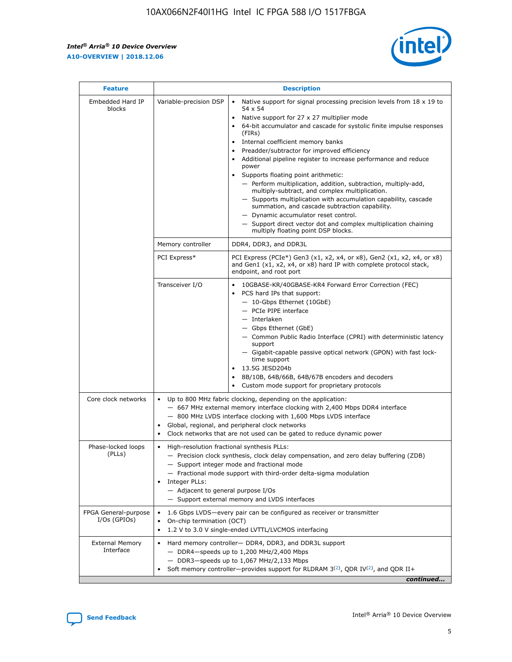$\mathsf{r}$ 



| <b>Feature</b>                         | <b>Description</b>                                                                                                                                                                                                                                                                                                   |                                                                                                                                                                                                                                                                                                                                                                                                                                                                                                                                                                                                                                                                                                                                                                                                                                        |  |  |  |  |  |
|----------------------------------------|----------------------------------------------------------------------------------------------------------------------------------------------------------------------------------------------------------------------------------------------------------------------------------------------------------------------|----------------------------------------------------------------------------------------------------------------------------------------------------------------------------------------------------------------------------------------------------------------------------------------------------------------------------------------------------------------------------------------------------------------------------------------------------------------------------------------------------------------------------------------------------------------------------------------------------------------------------------------------------------------------------------------------------------------------------------------------------------------------------------------------------------------------------------------|--|--|--|--|--|
| Embedded Hard IP<br>blocks             | Variable-precision DSP                                                                                                                                                                                                                                                                                               | Native support for signal processing precision levels from $18 \times 19$ to<br>54 x 54<br>Native support for 27 x 27 multiplier mode<br>64-bit accumulator and cascade for systolic finite impulse responses<br>(FIRs)<br>Internal coefficient memory banks<br>$\bullet$<br>Preadder/subtractor for improved efficiency<br>Additional pipeline register to increase performance and reduce<br>power<br>Supports floating point arithmetic:<br>- Perform multiplication, addition, subtraction, multiply-add,<br>multiply-subtract, and complex multiplication.<br>- Supports multiplication with accumulation capability, cascade<br>summation, and cascade subtraction capability.<br>- Dynamic accumulator reset control.<br>- Support direct vector dot and complex multiplication chaining<br>multiply floating point DSP blocks. |  |  |  |  |  |
|                                        | Memory controller                                                                                                                                                                                                                                                                                                    | DDR4, DDR3, and DDR3L                                                                                                                                                                                                                                                                                                                                                                                                                                                                                                                                                                                                                                                                                                                                                                                                                  |  |  |  |  |  |
|                                        | PCI Express*                                                                                                                                                                                                                                                                                                         | PCI Express (PCIe*) Gen3 (x1, x2, x4, or x8), Gen2 (x1, x2, x4, or x8)<br>and Gen1 (x1, x2, x4, or x8) hard IP with complete protocol stack,<br>endpoint, and root port                                                                                                                                                                                                                                                                                                                                                                                                                                                                                                                                                                                                                                                                |  |  |  |  |  |
|                                        | Transceiver I/O                                                                                                                                                                                                                                                                                                      | 10GBASE-KR/40GBASE-KR4 Forward Error Correction (FEC)<br>PCS hard IPs that support:<br>$\bullet$<br>- 10-Gbps Ethernet (10GbE)<br>- PCIe PIPE interface<br>$-$ Interlaken<br>- Gbps Ethernet (GbE)<br>- Common Public Radio Interface (CPRI) with deterministic latency<br>support<br>- Gigabit-capable passive optical network (GPON) with fast lock-<br>time support<br>13.5G JESD204b<br>$\bullet$<br>8B/10B, 64B/66B, 64B/67B encoders and decoders<br>Custom mode support for proprietary protocols                                                                                                                                                                                                                                                                                                                               |  |  |  |  |  |
| Core clock networks                    | $\bullet$<br>$\bullet$                                                                                                                                                                                                                                                                                               | Up to 800 MHz fabric clocking, depending on the application:<br>- 667 MHz external memory interface clocking with 2,400 Mbps DDR4 interface<br>- 800 MHz LVDS interface clocking with 1,600 Mbps LVDS interface<br>Global, regional, and peripheral clock networks<br>Clock networks that are not used can be gated to reduce dynamic power                                                                                                                                                                                                                                                                                                                                                                                                                                                                                            |  |  |  |  |  |
| Phase-locked loops<br>(PLLs)           | High-resolution fractional synthesis PLLs:<br>$\bullet$<br>Integer PLLs:<br>- Adjacent to general purpose I/Os                                                                                                                                                                                                       | - Precision clock synthesis, clock delay compensation, and zero delay buffering (ZDB)<br>- Support integer mode and fractional mode<br>- Fractional mode support with third-order delta-sigma modulation<br>- Support external memory and LVDS interfaces                                                                                                                                                                                                                                                                                                                                                                                                                                                                                                                                                                              |  |  |  |  |  |
| FPGA General-purpose<br>$I/Os$ (GPIOs) | On-chip termination (OCT)                                                                                                                                                                                                                                                                                            | 1.6 Gbps LVDS-every pair can be configured as receiver or transmitter                                                                                                                                                                                                                                                                                                                                                                                                                                                                                                                                                                                                                                                                                                                                                                  |  |  |  |  |  |
| <b>External Memory</b><br>Interface    | 1.2 V to 3.0 V single-ended LVTTL/LVCMOS interfacing<br>Hard memory controller- DDR4, DDR3, and DDR3L support<br>$-$ DDR4-speeds up to 1,200 MHz/2,400 Mbps<br>- DDR3-speeds up to 1,067 MHz/2,133 Mbps<br>Soft memory controller—provides support for RLDRAM $3^{(2)}$ , QDR IV $^{(2)}$ , and QDR II+<br>continued |                                                                                                                                                                                                                                                                                                                                                                                                                                                                                                                                                                                                                                                                                                                                                                                                                                        |  |  |  |  |  |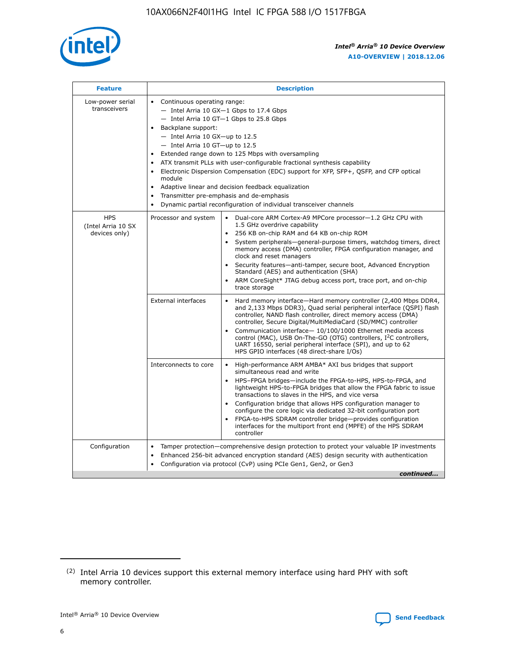

| <b>Feature</b>                                    | <b>Description</b>                                                                                                                                                                                                                                                                                                                                                                                                                                                                                                                                                                                                                                      |  |  |  |  |  |  |  |  |
|---------------------------------------------------|---------------------------------------------------------------------------------------------------------------------------------------------------------------------------------------------------------------------------------------------------------------------------------------------------------------------------------------------------------------------------------------------------------------------------------------------------------------------------------------------------------------------------------------------------------------------------------------------------------------------------------------------------------|--|--|--|--|--|--|--|--|
| Low-power serial<br>transceivers                  | • Continuous operating range:<br>- Intel Arria 10 GX-1 Gbps to 17.4 Gbps<br>- Intel Arria 10 GT-1 Gbps to 25.8 Gbps<br>Backplane support:<br>$-$ Intel Arria 10 GX-up to 12.5<br>- Intel Arria 10 GT-up to 12.5<br>Extended range down to 125 Mbps with oversampling<br>ATX transmit PLLs with user-configurable fractional synthesis capability<br>• Electronic Dispersion Compensation (EDC) support for XFP, SFP+, QSFP, and CFP optical<br>module<br>Adaptive linear and decision feedback equalization<br>$\bullet$<br>Transmitter pre-emphasis and de-emphasis<br>$\bullet$<br>Dynamic partial reconfiguration of individual transceiver channels |  |  |  |  |  |  |  |  |
| <b>HPS</b><br>(Intel Arria 10 SX<br>devices only) | Processor and system<br>Dual-core ARM Cortex-A9 MPCore processor-1.2 GHz CPU with<br>$\bullet$<br>1.5 GHz overdrive capability<br>• 256 KB on-chip RAM and 64 KB on-chip ROM<br>System peripherals-general-purpose timers, watchdog timers, direct<br>memory access (DMA) controller, FPGA configuration manager, and<br>clock and reset managers<br>• Security features—anti-tamper, secure boot, Advanced Encryption<br>Standard (AES) and authentication (SHA)<br>ARM CoreSight* JTAG debug access port, trace port, and on-chip<br>trace storage                                                                                                    |  |  |  |  |  |  |  |  |
|                                                   | <b>External interfaces</b><br>Hard memory interface—Hard memory controller (2,400 Mbps DDR4,<br>$\bullet$<br>and 2,133 Mbps DDR3), Quad serial peripheral interface (QSPI) flash<br>controller, NAND flash controller, direct memory access (DMA)<br>controller, Secure Digital/MultiMediaCard (SD/MMC) controller<br>Communication interface-10/100/1000 Ethernet media access<br>control (MAC), USB On-The-GO (OTG) controllers, I <sup>2</sup> C controllers,<br>UART 16550, serial peripheral interface (SPI), and up to 62<br>HPS GPIO interfaces (48 direct-share I/Os)                                                                           |  |  |  |  |  |  |  |  |
|                                                   | High-performance ARM AMBA* AXI bus bridges that support<br>Interconnects to core<br>$\bullet$<br>simultaneous read and write<br>HPS-FPGA bridges—include the FPGA-to-HPS, HPS-to-FPGA, and<br>lightweight HPS-to-FPGA bridges that allow the FPGA fabric to issue<br>transactions to slaves in the HPS, and vice versa<br>Configuration bridge that allows HPS configuration manager to<br>configure the core logic via dedicated 32-bit configuration port<br>FPGA-to-HPS SDRAM controller bridge-provides configuration<br>interfaces for the multiport front end (MPFE) of the HPS SDRAM<br>controller                                               |  |  |  |  |  |  |  |  |
| Configuration                                     | Tamper protection—comprehensive design protection to protect your valuable IP investments<br>Enhanced 256-bit advanced encryption standard (AES) design security with authentication<br>٠<br>Configuration via protocol (CvP) using PCIe Gen1, Gen2, or Gen3<br>continued                                                                                                                                                                                                                                                                                                                                                                               |  |  |  |  |  |  |  |  |

<sup>(2)</sup> Intel Arria 10 devices support this external memory interface using hard PHY with soft memory controller.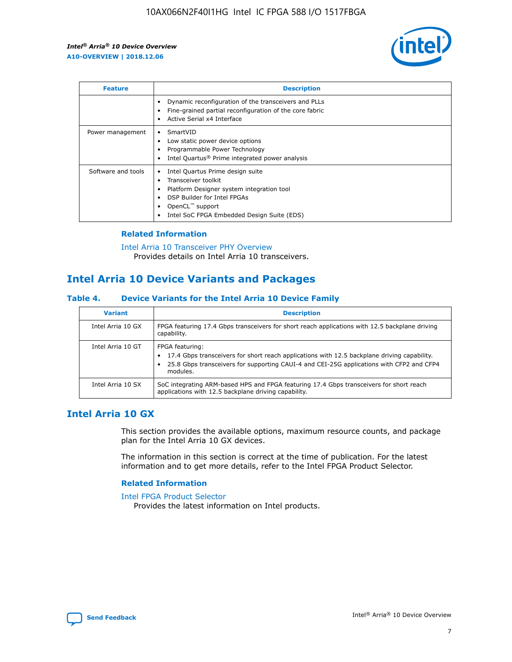

| <b>Feature</b>     | <b>Description</b>                                                                                                                                                                                               |
|--------------------|------------------------------------------------------------------------------------------------------------------------------------------------------------------------------------------------------------------|
|                    | Dynamic reconfiguration of the transceivers and PLLs<br>Fine-grained partial reconfiguration of the core fabric<br>Active Serial x4 Interface<br>$\bullet$                                                       |
| Power management   | SmartVID<br>Low static power device options<br>Programmable Power Technology<br>Intel Quartus <sup>®</sup> Prime integrated power analysis                                                                       |
| Software and tools | Intel Quartus Prime design suite<br>Transceiver toolkit<br>Platform Designer system integration tool<br>DSP Builder for Intel FPGAs<br>OpenCL <sup>™</sup> support<br>Intel SoC FPGA Embedded Design Suite (EDS) |

## **Related Information**

[Intel Arria 10 Transceiver PHY Overview](https://www.intel.com/content/www/us/en/programmable/documentation/nik1398707230472.html#nik1398706768037) Provides details on Intel Arria 10 transceivers.

# **Intel Arria 10 Device Variants and Packages**

#### **Table 4. Device Variants for the Intel Arria 10 Device Family**

| <b>Variant</b>    | <b>Description</b>                                                                                                                                                                                                     |
|-------------------|------------------------------------------------------------------------------------------------------------------------------------------------------------------------------------------------------------------------|
| Intel Arria 10 GX | FPGA featuring 17.4 Gbps transceivers for short reach applications with 12.5 backplane driving<br>capability.                                                                                                          |
| Intel Arria 10 GT | FPGA featuring:<br>17.4 Gbps transceivers for short reach applications with 12.5 backplane driving capability.<br>25.8 Gbps transceivers for supporting CAUI-4 and CEI-25G applications with CFP2 and CFP4<br>modules. |
| Intel Arria 10 SX | SoC integrating ARM-based HPS and FPGA featuring 17.4 Gbps transceivers for short reach<br>applications with 12.5 backplane driving capability.                                                                        |

# **Intel Arria 10 GX**

This section provides the available options, maximum resource counts, and package plan for the Intel Arria 10 GX devices.

The information in this section is correct at the time of publication. For the latest information and to get more details, refer to the Intel FPGA Product Selector.

#### **Related Information**

#### [Intel FPGA Product Selector](http://www.altera.com/products/selector/psg-selector.html) Provides the latest information on Intel products.

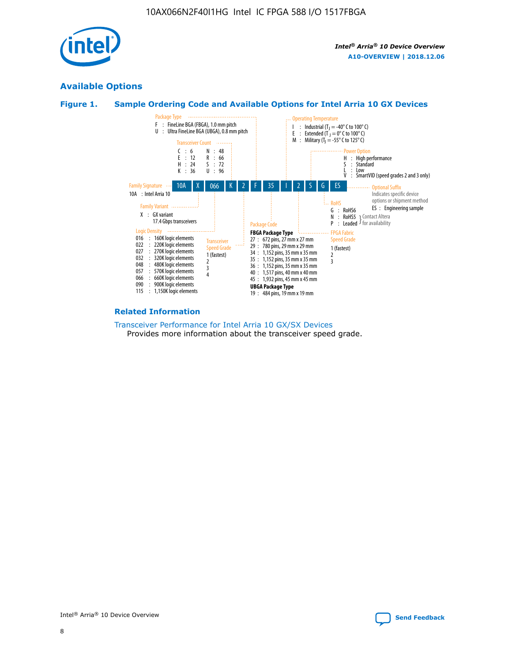

# **Available Options**





#### **Related Information**

[Transceiver Performance for Intel Arria 10 GX/SX Devices](https://www.intel.com/content/www/us/en/programmable/documentation/mcn1413182292568.html#mcn1413213965502) Provides more information about the transceiver speed grade.

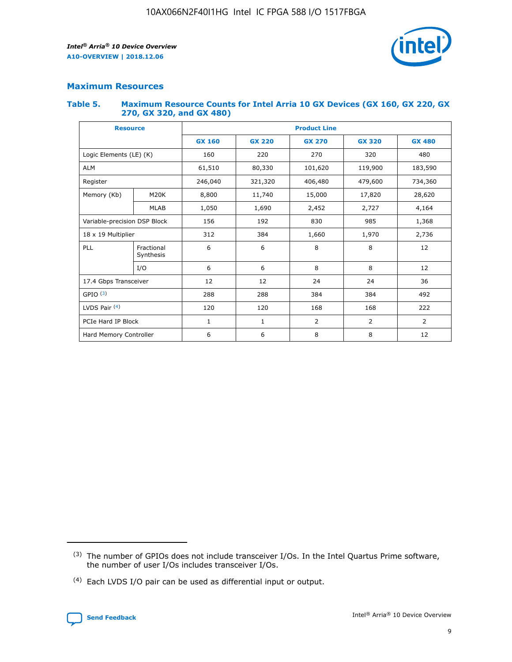

# **Maximum Resources**

#### **Table 5. Maximum Resource Counts for Intel Arria 10 GX Devices (GX 160, GX 220, GX 270, GX 320, and GX 480)**

| <b>Resource</b>              |                         | <b>Product Line</b> |                                                 |                |                |                |  |  |
|------------------------------|-------------------------|---------------------|-------------------------------------------------|----------------|----------------|----------------|--|--|
|                              |                         | <b>GX 160</b>       | <b>GX 220</b><br><b>GX 270</b><br><b>GX 320</b> |                |                | <b>GX 480</b>  |  |  |
| Logic Elements (LE) (K)      |                         | 160                 | 220                                             | 270            | 320            | 480            |  |  |
| <b>ALM</b>                   |                         | 61,510              | 80,330                                          | 101,620        | 119,900        | 183,590        |  |  |
| Register                     |                         | 246,040             | 406,480<br>321,320                              |                | 479,600        | 734,360        |  |  |
| Memory (Kb)                  | M <sub>20</sub> K       | 8,800               | 11,740                                          | 15,000         | 17,820         | 28,620         |  |  |
|                              | <b>MLAB</b>             | 1,050               | 1,690<br>2,452<br>2,727                         |                |                | 4,164          |  |  |
| Variable-precision DSP Block |                         | 156                 | 192                                             | 830            | 985            | 1,368          |  |  |
| 18 x 19 Multiplier           |                         | 312                 | 384                                             | 1,970<br>1,660 |                | 2,736          |  |  |
| PLL                          | Fractional<br>Synthesis | 6                   | 6                                               | 8              | 8              | 12             |  |  |
|                              | I/O                     | 6                   | 6                                               | 8              | 8              | 12             |  |  |
| 17.4 Gbps Transceiver        |                         | 12                  | 12                                              | 24             | 24             | 36             |  |  |
| GPIO <sup>(3)</sup>          |                         | 288                 | 288                                             | 384<br>384     |                | 492            |  |  |
| LVDS Pair $(4)$              |                         | 120                 | 120                                             | 168            | 168            | 222            |  |  |
| PCIe Hard IP Block           |                         | 1                   | 1                                               | 2              | $\overline{2}$ | $\overline{2}$ |  |  |
| Hard Memory Controller       |                         | 6                   | 6                                               | 8              | 8              | 12             |  |  |

<sup>(4)</sup> Each LVDS I/O pair can be used as differential input or output.



<sup>(3)</sup> The number of GPIOs does not include transceiver I/Os. In the Intel Quartus Prime software, the number of user I/Os includes transceiver I/Os.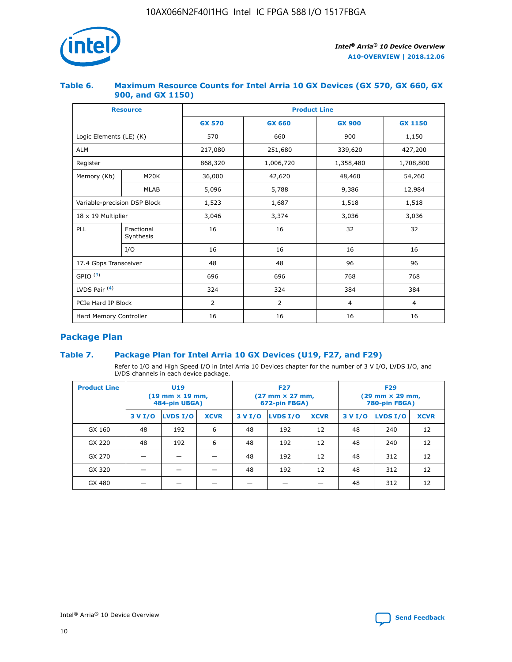

## **Table 6. Maximum Resource Counts for Intel Arria 10 GX Devices (GX 570, GX 660, GX 900, and GX 1150)**

|                              | <b>Resource</b>         | <b>Product Line</b> |                |                |                |  |  |  |
|------------------------------|-------------------------|---------------------|----------------|----------------|----------------|--|--|--|
|                              |                         | <b>GX 570</b>       | <b>GX 660</b>  | <b>GX 900</b>  | <b>GX 1150</b> |  |  |  |
| Logic Elements (LE) (K)      |                         | 570                 | 660            | 900            | 1,150          |  |  |  |
| <b>ALM</b>                   |                         | 217,080             | 251,680        | 339,620        | 427,200        |  |  |  |
| Register                     |                         | 868,320             | 1,006,720      |                | 1,708,800      |  |  |  |
| Memory (Kb)                  | M <sub>20</sub> K       | 36,000              | 42,620         | 48,460         | 54,260         |  |  |  |
|                              | <b>MLAB</b>             | 5,096               | 5,788          | 9,386          | 12,984         |  |  |  |
| Variable-precision DSP Block |                         | 1,523               | 1,687          | 1,518          | 1,518          |  |  |  |
| 18 x 19 Multiplier           |                         | 3,046               | 3,374<br>3,036 |                | 3,036          |  |  |  |
| PLL                          | Fractional<br>Synthesis | 16                  | 16             | 32             | 32             |  |  |  |
|                              | I/O                     | 16                  | 16             | 16             | 16             |  |  |  |
| 17.4 Gbps Transceiver        |                         | 48                  | 96<br>48       |                | 96             |  |  |  |
| GPIO <sup>(3)</sup>          |                         | 696                 | 696            | 768            | 768            |  |  |  |
| LVDS Pair $(4)$              |                         | 324                 | 324            | 384            | 384            |  |  |  |
| PCIe Hard IP Block           |                         | $\overline{2}$      | 2              | $\overline{4}$ | 4              |  |  |  |
| Hard Memory Controller       |                         | 16                  | 16             | 16             | 16             |  |  |  |

# **Package Plan**

# **Table 7. Package Plan for Intel Arria 10 GX Devices (U19, F27, and F29)**

Refer to I/O and High Speed I/O in Intel Arria 10 Devices chapter for the number of 3 V I/O, LVDS I/O, and LVDS channels in each device package.

| <b>Product Line</b> | U <sub>19</sub><br>$(19 \text{ mm} \times 19 \text{ mm})$<br>484-pin UBGA) |          |             |         | <b>F27</b><br>(27 mm × 27 mm,<br>672-pin FBGA) |             | <b>F29</b><br>(29 mm × 29 mm,<br>780-pin FBGA) |          |             |  |
|---------------------|----------------------------------------------------------------------------|----------|-------------|---------|------------------------------------------------|-------------|------------------------------------------------|----------|-------------|--|
|                     | 3 V I/O                                                                    | LVDS I/O | <b>XCVR</b> | 3 V I/O | LVDS I/O                                       | <b>XCVR</b> | 3 V I/O                                        | LVDS I/O | <b>XCVR</b> |  |
| GX 160              | 48                                                                         | 192      | 6           | 48      | 192                                            | 12          | 48                                             | 240      | 12          |  |
| GX 220              | 48                                                                         | 192      | 6           | 48      | 192                                            | 12          | 48                                             | 240      | 12          |  |
| GX 270              |                                                                            |          |             | 48      | 192                                            | 12          | 48                                             | 312      | 12          |  |
| GX 320              |                                                                            |          |             | 48      | 192                                            | 12          | 48                                             | 312      | 12          |  |
| GX 480              |                                                                            |          |             |         |                                                |             | 48                                             | 312      | 12          |  |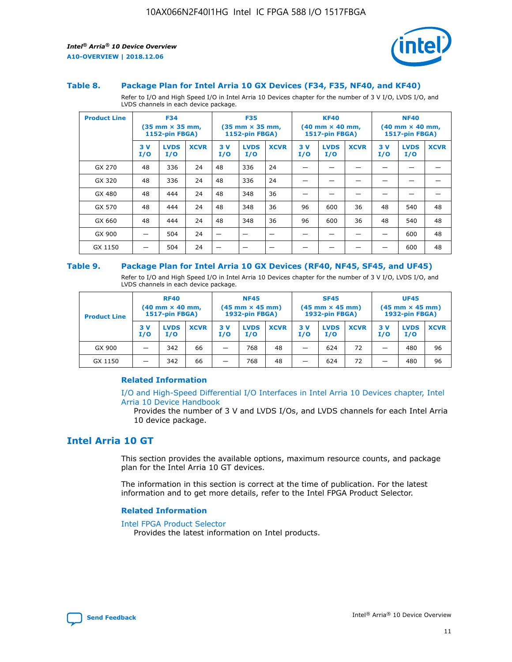



#### **Table 8. Package Plan for Intel Arria 10 GX Devices (F34, F35, NF40, and KF40)**

Refer to I/O and High Speed I/O in Intel Arria 10 Devices chapter for the number of 3 V I/O, LVDS I/O, and LVDS channels in each device package.

| <b>Product Line</b> | <b>F34</b><br>$(35 \text{ mm} \times 35 \text{ mm})$<br>1152-pin FBGA) |                    | <b>F35</b><br>$(35$ mm $\times$ 35 mm,<br><b>1152-pin FBGA)</b> |           | <b>KF40</b><br>$(40$ mm $\times$ 40 mm,<br>1517-pin FBGA) |             |           | <b>NF40</b><br>$(40$ mm $\times$ 40 mm,<br><b>1517-pin FBGA)</b> |             |            |                    |             |
|---------------------|------------------------------------------------------------------------|--------------------|-----------------------------------------------------------------|-----------|-----------------------------------------------------------|-------------|-----------|------------------------------------------------------------------|-------------|------------|--------------------|-------------|
|                     | 3V<br>I/O                                                              | <b>LVDS</b><br>I/O | <b>XCVR</b>                                                     | 3V<br>I/O | <b>LVDS</b><br>I/O                                        | <b>XCVR</b> | 3V<br>I/O | <b>LVDS</b><br>I/O                                               | <b>XCVR</b> | 3 V<br>I/O | <b>LVDS</b><br>I/O | <b>XCVR</b> |
| GX 270              | 48                                                                     | 336                | 24                                                              | 48        | 336                                                       | 24          |           |                                                                  |             |            |                    |             |
| GX 320              | 48                                                                     | 336                | 24                                                              | 48        | 336                                                       | 24          |           |                                                                  |             |            |                    |             |
| GX 480              | 48                                                                     | 444                | 24                                                              | 48        | 348                                                       | 36          |           |                                                                  |             |            |                    |             |
| GX 570              | 48                                                                     | 444                | 24                                                              | 48        | 348                                                       | 36          | 96        | 600                                                              | 36          | 48         | 540                | 48          |
| GX 660              | 48                                                                     | 444                | 24                                                              | 48        | 348                                                       | 36          | 96        | 600                                                              | 36          | 48         | 540                | 48          |
| GX 900              |                                                                        | 504                | 24                                                              | –         |                                                           | -           |           |                                                                  |             |            | 600                | 48          |
| GX 1150             |                                                                        | 504                | 24                                                              |           |                                                           |             |           |                                                                  |             |            | 600                | 48          |

#### **Table 9. Package Plan for Intel Arria 10 GX Devices (RF40, NF45, SF45, and UF45)**

Refer to I/O and High Speed I/O in Intel Arria 10 Devices chapter for the number of 3 V I/O, LVDS I/O, and LVDS channels in each device package.

| <b>Product Line</b> | <b>RF40</b><br>$(40$ mm $\times$ 40 mm,<br>1517-pin FBGA) |                    |             | <b>NF45</b><br>$(45 \text{ mm} \times 45 \text{ mm})$<br><b>1932-pin FBGA)</b> |                    |             | <b>SF45</b><br>$(45 \text{ mm} \times 45 \text{ mm})$<br><b>1932-pin FBGA)</b> |                    |             | <b>UF45</b><br>$(45 \text{ mm} \times 45 \text{ mm})$<br><b>1932-pin FBGA)</b> |                    |             |
|---------------------|-----------------------------------------------------------|--------------------|-------------|--------------------------------------------------------------------------------|--------------------|-------------|--------------------------------------------------------------------------------|--------------------|-------------|--------------------------------------------------------------------------------|--------------------|-------------|
|                     | 3V<br>I/O                                                 | <b>LVDS</b><br>I/O | <b>XCVR</b> | 3 V<br>I/O                                                                     | <b>LVDS</b><br>I/O | <b>XCVR</b> | 3 V<br>I/O                                                                     | <b>LVDS</b><br>I/O | <b>XCVR</b> | 3V<br>I/O                                                                      | <b>LVDS</b><br>I/O | <b>XCVR</b> |
| GX 900              |                                                           | 342                | 66          | _                                                                              | 768                | 48          |                                                                                | 624                | 72          |                                                                                | 480                | 96          |
| GX 1150             |                                                           | 342                | 66          | _                                                                              | 768                | 48          |                                                                                | 624                | 72          |                                                                                | 480                | 96          |

### **Related Information**

[I/O and High-Speed Differential I/O Interfaces in Intel Arria 10 Devices chapter, Intel](https://www.intel.com/content/www/us/en/programmable/documentation/sam1403482614086.html#sam1403482030321) [Arria 10 Device Handbook](https://www.intel.com/content/www/us/en/programmable/documentation/sam1403482614086.html#sam1403482030321)

Provides the number of 3 V and LVDS I/Os, and LVDS channels for each Intel Arria 10 device package.

# **Intel Arria 10 GT**

This section provides the available options, maximum resource counts, and package plan for the Intel Arria 10 GT devices.

The information in this section is correct at the time of publication. For the latest information and to get more details, refer to the Intel FPGA Product Selector.

#### **Related Information**

#### [Intel FPGA Product Selector](http://www.altera.com/products/selector/psg-selector.html)

Provides the latest information on Intel products.

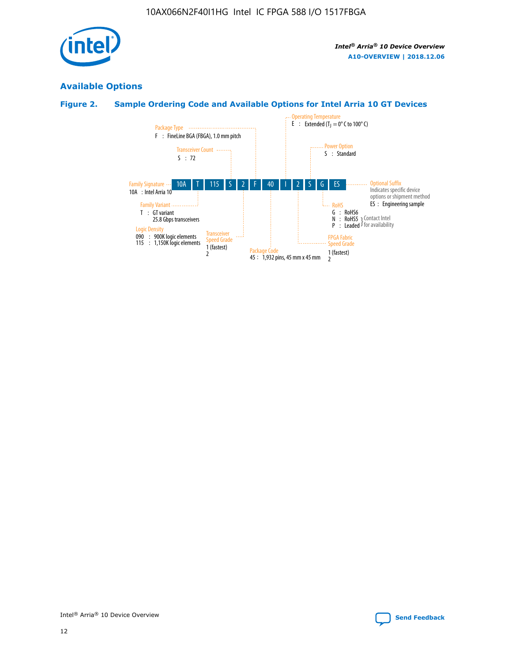

# **Available Options**

# **Figure 2. Sample Ordering Code and Available Options for Intel Arria 10 GT Devices**

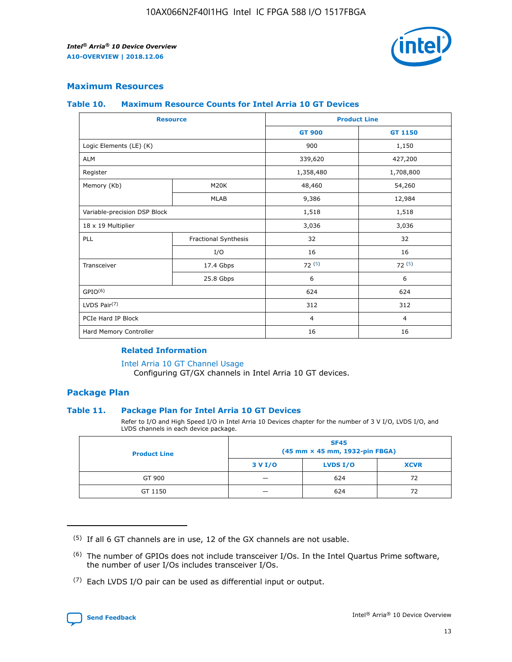

## **Maximum Resources**

#### **Table 10. Maximum Resource Counts for Intel Arria 10 GT Devices**

| <b>Resource</b>              |                      |                | <b>Product Line</b> |  |
|------------------------------|----------------------|----------------|---------------------|--|
|                              |                      | <b>GT 900</b>  | <b>GT 1150</b>      |  |
| Logic Elements (LE) (K)      |                      | 900            | 1,150               |  |
| <b>ALM</b>                   |                      | 339,620        | 427,200             |  |
| Register                     |                      | 1,358,480      | 1,708,800           |  |
| Memory (Kb)                  | M20K                 | 48,460         | 54,260              |  |
|                              | <b>MLAB</b>          | 9,386          | 12,984              |  |
| Variable-precision DSP Block |                      | 1,518          | 1,518               |  |
| 18 x 19 Multiplier           |                      | 3,036          | 3,036               |  |
| PLL                          | Fractional Synthesis | 32             | 32                  |  |
|                              | I/O                  | 16             | 16                  |  |
| Transceiver                  | 17.4 Gbps            | 72(5)          | 72(5)               |  |
|                              | 25.8 Gbps            | 6              | 6                   |  |
| GPIO <sup>(6)</sup>          |                      | 624            | 624                 |  |
| LVDS Pair $(7)$              |                      | 312            | 312                 |  |
| PCIe Hard IP Block           |                      | $\overline{4}$ | $\overline{4}$      |  |
| Hard Memory Controller       |                      | 16             | 16                  |  |

## **Related Information**

#### [Intel Arria 10 GT Channel Usage](https://www.intel.com/content/www/us/en/programmable/documentation/nik1398707230472.html#nik1398707008178)

Configuring GT/GX channels in Intel Arria 10 GT devices.

## **Package Plan**

### **Table 11. Package Plan for Intel Arria 10 GT Devices**

Refer to I/O and High Speed I/O in Intel Arria 10 Devices chapter for the number of 3 V I/O, LVDS I/O, and LVDS channels in each device package.

| <b>Product Line</b> | <b>SF45</b><br>(45 mm × 45 mm, 1932-pin FBGA) |                 |             |  |  |  |
|---------------------|-----------------------------------------------|-----------------|-------------|--|--|--|
|                     | 3 V I/O                                       | <b>LVDS I/O</b> | <b>XCVR</b> |  |  |  |
| GT 900              |                                               | 624             | 72          |  |  |  |
| GT 1150             |                                               | 624             | 72          |  |  |  |

<sup>(7)</sup> Each LVDS I/O pair can be used as differential input or output.



 $(5)$  If all 6 GT channels are in use, 12 of the GX channels are not usable.

<sup>(6)</sup> The number of GPIOs does not include transceiver I/Os. In the Intel Quartus Prime software, the number of user I/Os includes transceiver I/Os.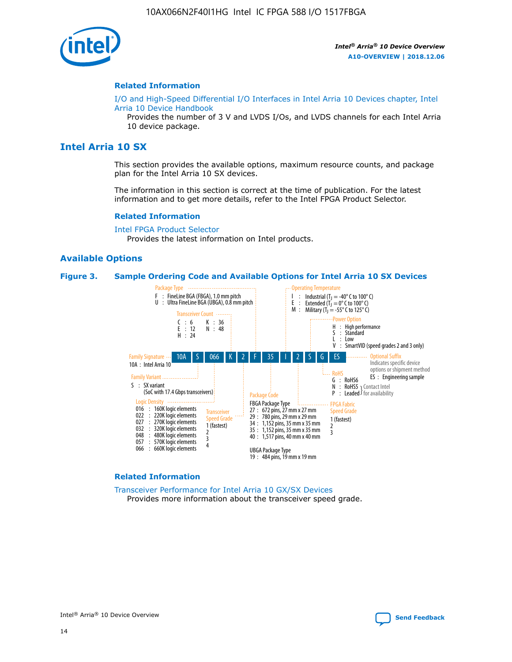

#### **Related Information**

[I/O and High-Speed Differential I/O Interfaces in Intel Arria 10 Devices chapter, Intel](https://www.intel.com/content/www/us/en/programmable/documentation/sam1403482614086.html#sam1403482030321) [Arria 10 Device Handbook](https://www.intel.com/content/www/us/en/programmable/documentation/sam1403482614086.html#sam1403482030321)

Provides the number of 3 V and LVDS I/Os, and LVDS channels for each Intel Arria 10 device package.

# **Intel Arria 10 SX**

This section provides the available options, maximum resource counts, and package plan for the Intel Arria 10 SX devices.

The information in this section is correct at the time of publication. For the latest information and to get more details, refer to the Intel FPGA Product Selector.

#### **Related Information**

[Intel FPGA Product Selector](http://www.altera.com/products/selector/psg-selector.html) Provides the latest information on Intel products.

### **Available Options**

#### **Figure 3. Sample Ordering Code and Available Options for Intel Arria 10 SX Devices**



#### **Related Information**

[Transceiver Performance for Intel Arria 10 GX/SX Devices](https://www.intel.com/content/www/us/en/programmable/documentation/mcn1413182292568.html#mcn1413213965502) Provides more information about the transceiver speed grade.

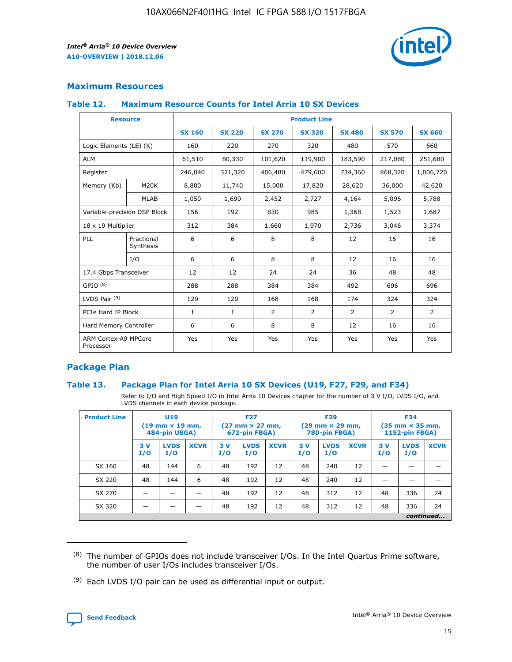

# **Maximum Resources**

#### **Table 12. Maximum Resource Counts for Intel Arria 10 SX Devices**

| <b>Resource</b>                   |                         | <b>Product Line</b> |               |                |                |                |                |                |  |  |  |
|-----------------------------------|-------------------------|---------------------|---------------|----------------|----------------|----------------|----------------|----------------|--|--|--|
|                                   |                         | <b>SX 160</b>       | <b>SX 220</b> | <b>SX 270</b>  | <b>SX 320</b>  | <b>SX 480</b>  | <b>SX 570</b>  | <b>SX 660</b>  |  |  |  |
| Logic Elements (LE) (K)           |                         | 160                 | 220           | 270            | 320            | 480            | 570            | 660            |  |  |  |
| <b>ALM</b>                        |                         | 61,510              | 80,330        | 101,620        | 119,900        | 183,590        | 217,080        | 251,680        |  |  |  |
| Register                          |                         | 246,040             | 321,320       | 406,480        | 479,600        | 734,360        | 868,320        | 1,006,720      |  |  |  |
| Memory (Kb)                       | M <sub>20</sub> K       | 8,800               | 11,740        | 15,000         | 17,820         | 28,620         | 36,000         | 42,620         |  |  |  |
|                                   | <b>MLAB</b>             | 1,050               | 1,690         | 2,452          | 2,727          | 4,164          | 5,096          | 5,788          |  |  |  |
| Variable-precision DSP Block      |                         | 156                 | 192           | 830            | 985            | 1,368          | 1,523          | 1,687          |  |  |  |
| 18 x 19 Multiplier                |                         | 312                 | 384           | 1,660          | 1,970          | 2,736          | 3,046          | 3,374          |  |  |  |
| PLL                               | Fractional<br>Synthesis | 6                   | 6             | 8              | 8              | 12             | 16             | 16             |  |  |  |
|                                   | I/O                     | 6                   | 6             | 8              | 8              | 12             | 16             | 16             |  |  |  |
| 17.4 Gbps Transceiver             |                         | 12                  | 12            | 24             | 24             | 36             | 48             | 48             |  |  |  |
| GPIO <sup>(8)</sup>               |                         | 288                 | 288           | 384            | 384            | 492            | 696            | 696            |  |  |  |
| LVDS Pair $(9)$                   |                         | 120                 | 120           | 168            | 168            | 174            | 324            | 324            |  |  |  |
| PCIe Hard IP Block                |                         | $\mathbf{1}$        | $\mathbf{1}$  | $\overline{2}$ | $\overline{2}$ | $\overline{2}$ | $\overline{2}$ | $\overline{2}$ |  |  |  |
| Hard Memory Controller            |                         | 6                   | 6             | 8              | 8              | 12             | 16             | 16             |  |  |  |
| ARM Cortex-A9 MPCore<br>Processor |                         | Yes                 | Yes           | Yes            | Yes            | Yes            | Yes            | <b>Yes</b>     |  |  |  |

# **Package Plan**

### **Table 13. Package Plan for Intel Arria 10 SX Devices (U19, F27, F29, and F34)**

Refer to I/O and High Speed I/O in Intel Arria 10 Devices chapter for the number of 3 V I/O, LVDS I/O, and LVDS channels in each device package.

| <b>Product Line</b> | <b>U19</b><br>$(19 \text{ mm} \times 19 \text{ mm})$<br>484-pin UBGA) |                    |             | <b>F27</b><br>$(27 \text{ mm} \times 27 \text{ mm})$<br>672-pin FBGA) |                    | <b>F29</b><br>$(29 \text{ mm} \times 29 \text{ mm})$<br>780-pin FBGA) |           |                    | <b>F34</b><br>$(35 \text{ mm} \times 35 \text{ mm})$<br><b>1152-pin FBGA)</b> |           |                    |             |
|---------------------|-----------------------------------------------------------------------|--------------------|-------------|-----------------------------------------------------------------------|--------------------|-----------------------------------------------------------------------|-----------|--------------------|-------------------------------------------------------------------------------|-----------|--------------------|-------------|
|                     | 3V<br>I/O                                                             | <b>LVDS</b><br>I/O | <b>XCVR</b> | 3V<br>I/O                                                             | <b>LVDS</b><br>I/O | <b>XCVR</b>                                                           | 3V<br>I/O | <b>LVDS</b><br>I/O | <b>XCVR</b>                                                                   | 3V<br>I/O | <b>LVDS</b><br>I/O | <b>XCVR</b> |
| SX 160              | 48                                                                    | 144                | 6           | 48                                                                    | 192                | 12                                                                    | 48        | 240                | 12                                                                            | -         |                    |             |
| SX 220              | 48                                                                    | 144                | 6           | 48                                                                    | 192                | 12                                                                    | 48        | 240                | 12                                                                            |           |                    |             |
| SX 270              |                                                                       |                    |             | 48                                                                    | 192                | 12                                                                    | 48        | 312                | 12                                                                            | 48        | 336                | 24          |
| SX 320              |                                                                       |                    |             | 48                                                                    | 192                | 12                                                                    | 48        | 312                | 12                                                                            | 48        | 336                | 24          |
|                     | continued                                                             |                    |             |                                                                       |                    |                                                                       |           |                    |                                                                               |           |                    |             |

 $(8)$  The number of GPIOs does not include transceiver I/Os. In the Intel Quartus Prime software, the number of user I/Os includes transceiver I/Os.

 $(9)$  Each LVDS I/O pair can be used as differential input or output.

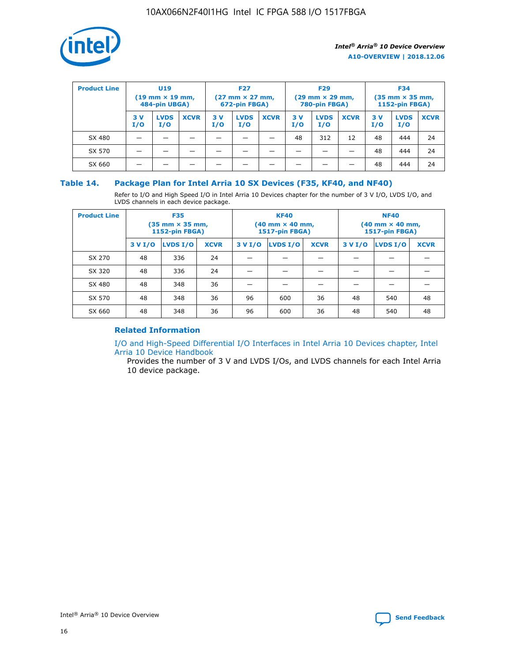

| <b>Product Line</b> | U <sub>19</sub><br>$(19 \text{ mm} \times 19 \text{ mm})$<br>484-pin UBGA) |                    | <b>F27</b><br>$(27 \text{ mm} \times 27 \text{ mm})$<br>672-pin FBGA) |            |                    | <b>F29</b><br>$(29 \text{ mm} \times 29 \text{ mm})$<br>780-pin FBGA) |           |                    | <b>F34</b><br>$(35$ mm $\times$ 35 mm,<br><b>1152-pin FBGA)</b> |           |                    |             |
|---------------------|----------------------------------------------------------------------------|--------------------|-----------------------------------------------------------------------|------------|--------------------|-----------------------------------------------------------------------|-----------|--------------------|-----------------------------------------------------------------|-----------|--------------------|-------------|
|                     | 3V<br>I/O                                                                  | <b>LVDS</b><br>I/O | <b>XCVR</b>                                                           | 3 V<br>I/O | <b>LVDS</b><br>I/O | <b>XCVR</b>                                                           | 3V<br>I/O | <b>LVDS</b><br>I/O | <b>XCVR</b>                                                     | 3V<br>I/O | <b>LVDS</b><br>I/O | <b>XCVR</b> |
| SX 480              |                                                                            |                    |                                                                       |            |                    |                                                                       | 48        | 312                | 12                                                              | 48        | 444                | 24          |
| SX 570              |                                                                            |                    |                                                                       |            |                    |                                                                       |           |                    |                                                                 | 48        | 444                | 24          |
| SX 660              |                                                                            |                    |                                                                       |            |                    |                                                                       |           |                    |                                                                 | 48        | 444                | 24          |

## **Table 14. Package Plan for Intel Arria 10 SX Devices (F35, KF40, and NF40)**

Refer to I/O and High Speed I/O in Intel Arria 10 Devices chapter for the number of 3 V I/O, LVDS I/O, and LVDS channels in each device package.

| <b>Product Line</b> | <b>F35</b><br>$(35 \text{ mm} \times 35 \text{ mm})$<br><b>1152-pin FBGA)</b> |          |             |                                           | <b>KF40</b><br>(40 mm × 40 mm,<br>1517-pin FBGA) |    | <b>NF40</b><br>$(40 \text{ mm} \times 40 \text{ mm})$<br>1517-pin FBGA) |          |             |  |
|---------------------|-------------------------------------------------------------------------------|----------|-------------|-------------------------------------------|--------------------------------------------------|----|-------------------------------------------------------------------------|----------|-------------|--|
|                     | 3 V I/O                                                                       | LVDS I/O | <b>XCVR</b> | <b>LVDS I/O</b><br><b>XCVR</b><br>3 V I/O |                                                  |    | 3 V I/O                                                                 | LVDS I/O | <b>XCVR</b> |  |
| SX 270              | 48                                                                            | 336      | 24          |                                           |                                                  |    |                                                                         |          |             |  |
| SX 320              | 48                                                                            | 336      | 24          |                                           |                                                  |    |                                                                         |          |             |  |
| SX 480              | 48                                                                            | 348      | 36          |                                           |                                                  |    |                                                                         |          |             |  |
| SX 570              | 48                                                                            | 348      | 36          | 96                                        | 600                                              | 36 | 48                                                                      | 540      | 48          |  |
| SX 660              | 48                                                                            | 348      | 36          | 96                                        | 600                                              | 36 | 48                                                                      | 540      | 48          |  |

# **Related Information**

[I/O and High-Speed Differential I/O Interfaces in Intel Arria 10 Devices chapter, Intel](https://www.intel.com/content/www/us/en/programmable/documentation/sam1403482614086.html#sam1403482030321) [Arria 10 Device Handbook](https://www.intel.com/content/www/us/en/programmable/documentation/sam1403482614086.html#sam1403482030321)

Provides the number of 3 V and LVDS I/Os, and LVDS channels for each Intel Arria 10 device package.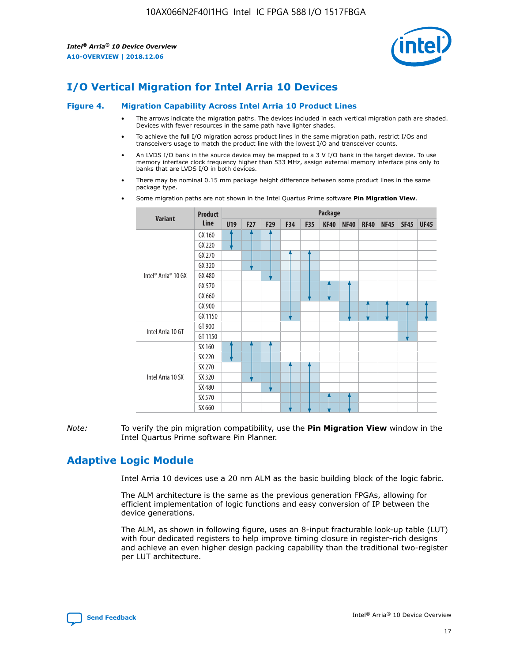

# **I/O Vertical Migration for Intel Arria 10 Devices**

#### **Figure 4. Migration Capability Across Intel Arria 10 Product Lines**

- The arrows indicate the migration paths. The devices included in each vertical migration path are shaded. Devices with fewer resources in the same path have lighter shades.
- To achieve the full I/O migration across product lines in the same migration path, restrict I/Os and transceivers usage to match the product line with the lowest I/O and transceiver counts.
- An LVDS I/O bank in the source device may be mapped to a 3 V I/O bank in the target device. To use memory interface clock frequency higher than 533 MHz, assign external memory interface pins only to banks that are LVDS I/O in both devices.
- There may be nominal 0.15 mm package height difference between some product lines in the same package type.
	- **Variant Product Line Package U19 F27 F29 F34 F35 KF40 NF40 RF40 NF45 SF45 UF45** Intel® Arria® 10 GX GX 160 GX 220 GX 270 GX 320 GX 480 GX 570 GX 660 GX 900 GX 1150 Intel Arria 10 GT GT 900 GT 1150 Intel Arria 10 SX SX 160 SX 220 SX 270 SX 320 SX 480 SX 570 SX 660
- Some migration paths are not shown in the Intel Quartus Prime software **Pin Migration View**.

*Note:* To verify the pin migration compatibility, use the **Pin Migration View** window in the Intel Quartus Prime software Pin Planner.

# **Adaptive Logic Module**

Intel Arria 10 devices use a 20 nm ALM as the basic building block of the logic fabric.

The ALM architecture is the same as the previous generation FPGAs, allowing for efficient implementation of logic functions and easy conversion of IP between the device generations.

The ALM, as shown in following figure, uses an 8-input fracturable look-up table (LUT) with four dedicated registers to help improve timing closure in register-rich designs and achieve an even higher design packing capability than the traditional two-register per LUT architecture.

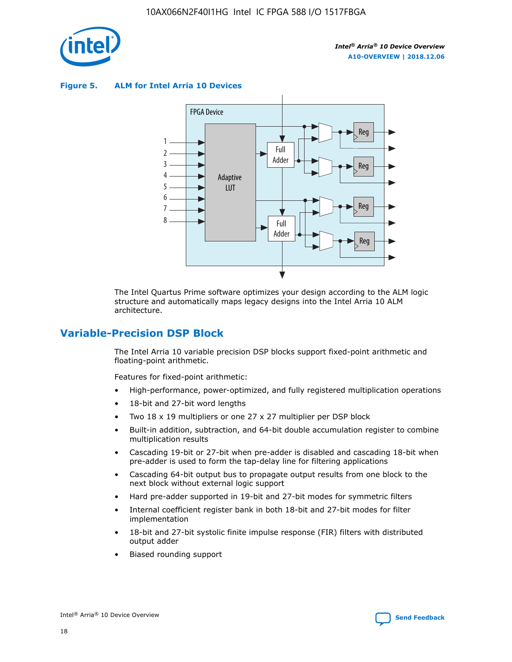

**Figure 5. ALM for Intel Arria 10 Devices**



The Intel Quartus Prime software optimizes your design according to the ALM logic structure and automatically maps legacy designs into the Intel Arria 10 ALM architecture.

# **Variable-Precision DSP Block**

The Intel Arria 10 variable precision DSP blocks support fixed-point arithmetic and floating-point arithmetic.

Features for fixed-point arithmetic:

- High-performance, power-optimized, and fully registered multiplication operations
- 18-bit and 27-bit word lengths
- Two 18 x 19 multipliers or one 27 x 27 multiplier per DSP block
- Built-in addition, subtraction, and 64-bit double accumulation register to combine multiplication results
- Cascading 19-bit or 27-bit when pre-adder is disabled and cascading 18-bit when pre-adder is used to form the tap-delay line for filtering applications
- Cascading 64-bit output bus to propagate output results from one block to the next block without external logic support
- Hard pre-adder supported in 19-bit and 27-bit modes for symmetric filters
- Internal coefficient register bank in both 18-bit and 27-bit modes for filter implementation
- 18-bit and 27-bit systolic finite impulse response (FIR) filters with distributed output adder
- Biased rounding support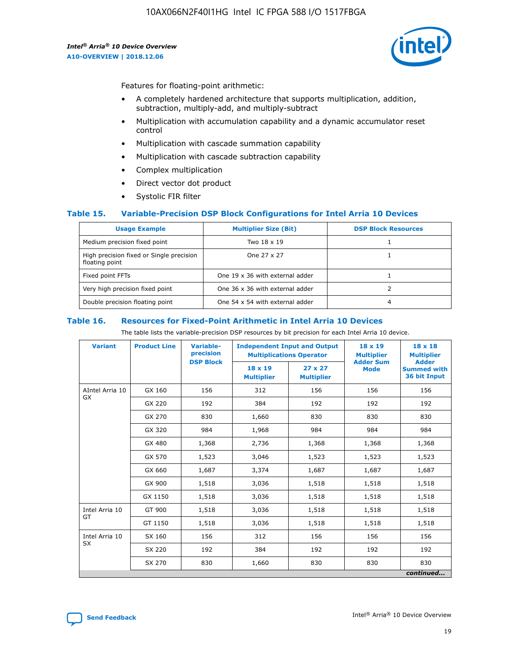

Features for floating-point arithmetic:

- A completely hardened architecture that supports multiplication, addition, subtraction, multiply-add, and multiply-subtract
- Multiplication with accumulation capability and a dynamic accumulator reset control
- Multiplication with cascade summation capability
- Multiplication with cascade subtraction capability
- Complex multiplication
- Direct vector dot product
- Systolic FIR filter

### **Table 15. Variable-Precision DSP Block Configurations for Intel Arria 10 Devices**

| <b>Usage Example</b>                                       | <b>Multiplier Size (Bit)</b>    | <b>DSP Block Resources</b> |
|------------------------------------------------------------|---------------------------------|----------------------------|
| Medium precision fixed point                               | Two 18 x 19                     |                            |
| High precision fixed or Single precision<br>floating point | One 27 x 27                     |                            |
| Fixed point FFTs                                           | One 19 x 36 with external adder |                            |
| Very high precision fixed point                            | One 36 x 36 with external adder |                            |
| Double precision floating point                            | One 54 x 54 with external adder | 4                          |

#### **Table 16. Resources for Fixed-Point Arithmetic in Intel Arria 10 Devices**

The table lists the variable-precision DSP resources by bit precision for each Intel Arria 10 device.

| <b>Variant</b>        | <b>Product Line</b> | <b>Variable-</b><br>precision<br><b>DSP Block</b> | <b>Independent Input and Output</b><br><b>Multiplications Operator</b> |                                     | $18 \times 19$<br><b>Multiplier</b><br><b>Adder Sum</b> | $18 \times 18$<br><b>Multiplier</b><br><b>Adder</b> |
|-----------------------|---------------------|---------------------------------------------------|------------------------------------------------------------------------|-------------------------------------|---------------------------------------------------------|-----------------------------------------------------|
|                       |                     |                                                   | 18 x 19<br><b>Multiplier</b>                                           | $27 \times 27$<br><b>Multiplier</b> | <b>Mode</b>                                             | <b>Summed with</b><br>36 bit Input                  |
| AIntel Arria 10<br>GX | GX 160              | 156                                               | 312                                                                    | 156                                 | 156                                                     | 156                                                 |
|                       | GX 220              | 192                                               | 384                                                                    | 192                                 | 192                                                     | 192                                                 |
|                       | GX 270              | 830                                               | 1,660                                                                  | 830                                 | 830                                                     | 830                                                 |
|                       | GX 320              | 984                                               | 1,968                                                                  | 984                                 | 984                                                     | 984                                                 |
|                       | GX 480              | 1,368                                             | 2,736                                                                  | 1,368                               | 1,368                                                   | 1,368                                               |
|                       | GX 570              | 1,523                                             | 3,046                                                                  | 1,523                               | 1,523                                                   | 1,523                                               |
|                       | GX 660              | 1,687                                             | 3,374                                                                  | 1,687                               | 1,687                                                   | 1,687                                               |
|                       | GX 900              | 1,518                                             | 3,036                                                                  | 1,518                               | 1,518                                                   | 1,518                                               |
|                       | GX 1150             | 1,518                                             | 3,036                                                                  | 1,518                               | 1,518                                                   | 1,518                                               |
| Intel Arria 10        | GT 900              | 1,518                                             | 3,036                                                                  | 1,518                               | 1,518                                                   | 1,518                                               |
| GT                    | GT 1150             | 1,518                                             | 3,036                                                                  | 1,518                               | 1,518                                                   | 1,518                                               |
| Intel Arria 10        | SX 160              | 156                                               | 312                                                                    | 156                                 | 156                                                     | 156                                                 |
| <b>SX</b>             | SX 220              | 192                                               | 384                                                                    | 192                                 | 192                                                     | 192                                                 |
|                       | SX 270              | 830                                               | 1,660                                                                  | 830                                 | 830                                                     | 830                                                 |
|                       |                     |                                                   |                                                                        |                                     |                                                         | continued                                           |

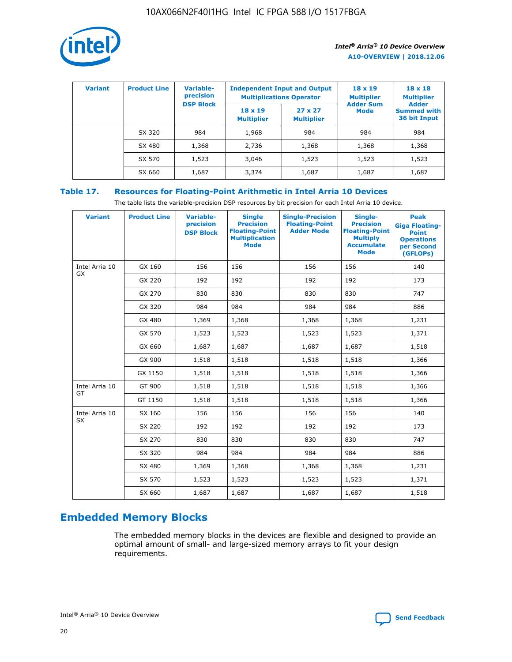

| <b>Variant</b> | <b>Product Line</b> | <b>Variable-</b><br>precision<br><b>DSP Block</b> | <b>Independent Input and Output</b><br><b>Multiplications Operator</b> |                                     | $18 \times 19$<br><b>Multiplier</b><br><b>Adder Sum</b> | $18 \times 18$<br><b>Multiplier</b><br><b>Adder</b> |  |
|----------------|---------------------|---------------------------------------------------|------------------------------------------------------------------------|-------------------------------------|---------------------------------------------------------|-----------------------------------------------------|--|
|                |                     |                                                   | $18 \times 19$<br><b>Multiplier</b>                                    | $27 \times 27$<br><b>Multiplier</b> | <b>Mode</b>                                             | <b>Summed with</b><br>36 bit Input                  |  |
|                | SX 320              | 984                                               | 1,968                                                                  | 984                                 | 984                                                     | 984                                                 |  |
|                | SX 480              | 1,368                                             | 2,736                                                                  | 1,368                               | 1,368                                                   | 1,368                                               |  |
|                | SX 570              | 1,523                                             | 3,046                                                                  | 1,523                               | 1,523                                                   | 1,523                                               |  |
|                | SX 660              | 1,687                                             | 3,374                                                                  | 1,687                               | 1,687                                                   | 1,687                                               |  |

# **Table 17. Resources for Floating-Point Arithmetic in Intel Arria 10 Devices**

The table lists the variable-precision DSP resources by bit precision for each Intel Arria 10 device.

| <b>Variant</b> | <b>Product Line</b> | <b>Variable-</b><br>precision<br><b>DSP Block</b> | <b>Single</b><br><b>Precision</b><br><b>Floating-Point</b><br><b>Multiplication</b><br><b>Mode</b> | <b>Single-Precision</b><br><b>Floating-Point</b><br><b>Adder Mode</b> | Single-<br><b>Precision</b><br><b>Floating-Point</b><br><b>Multiply</b><br><b>Accumulate</b><br><b>Mode</b> | <b>Peak</b><br><b>Giga Floating-</b><br><b>Point</b><br><b>Operations</b><br>per Second<br>(GFLOPs) |
|----------------|---------------------|---------------------------------------------------|----------------------------------------------------------------------------------------------------|-----------------------------------------------------------------------|-------------------------------------------------------------------------------------------------------------|-----------------------------------------------------------------------------------------------------|
| Intel Arria 10 | GX 160              | 156                                               | 156                                                                                                | 156                                                                   | 156                                                                                                         | 140                                                                                                 |
| GX             | GX 220              | 192                                               | 192                                                                                                | 192                                                                   | 192                                                                                                         | 173                                                                                                 |
|                | GX 270              | 830                                               | 830                                                                                                | 830                                                                   | 830                                                                                                         | 747                                                                                                 |
|                | GX 320              | 984                                               | 984                                                                                                | 984                                                                   | 984                                                                                                         | 886                                                                                                 |
|                | GX 480              | 1,369                                             | 1,368                                                                                              | 1,368                                                                 | 1,368                                                                                                       | 1,231                                                                                               |
|                | GX 570              | 1,523                                             | 1,523                                                                                              | 1,523                                                                 | 1,523                                                                                                       | 1,371                                                                                               |
|                | GX 660              | 1,687                                             | 1,687                                                                                              | 1,687                                                                 | 1,687                                                                                                       | 1,518                                                                                               |
|                | GX 900              | 1,518                                             | 1,518                                                                                              | 1,518                                                                 | 1,518                                                                                                       | 1,366                                                                                               |
|                | GX 1150             | 1,518                                             | 1,518                                                                                              | 1,518                                                                 | 1,518                                                                                                       | 1,366                                                                                               |
| Intel Arria 10 | GT 900              | 1,518                                             | 1,518                                                                                              | 1,518                                                                 | 1,518                                                                                                       | 1,366                                                                                               |
| GT             | GT 1150             | 1,518                                             | 1,518                                                                                              | 1,518                                                                 | 1,518                                                                                                       | 1,366                                                                                               |
| Intel Arria 10 | SX 160              | 156                                               | 156                                                                                                | 156                                                                   | 156                                                                                                         | 140                                                                                                 |
| SX             | SX 220              | 192                                               | 192                                                                                                | 192                                                                   | 192                                                                                                         | 173                                                                                                 |
|                | SX 270              | 830                                               | 830                                                                                                | 830                                                                   | 830                                                                                                         | 747                                                                                                 |
|                | SX 320              | 984                                               | 984                                                                                                | 984                                                                   | 984                                                                                                         | 886                                                                                                 |
|                | SX 480              | 1,369                                             | 1,368                                                                                              | 1,368                                                                 | 1,368                                                                                                       | 1,231                                                                                               |
|                | SX 570              | 1,523                                             | 1,523                                                                                              | 1,523                                                                 | 1,523                                                                                                       | 1,371                                                                                               |
|                | SX 660              | 1,687                                             | 1,687                                                                                              | 1,687                                                                 | 1,687                                                                                                       | 1,518                                                                                               |

# **Embedded Memory Blocks**

The embedded memory blocks in the devices are flexible and designed to provide an optimal amount of small- and large-sized memory arrays to fit your design requirements.

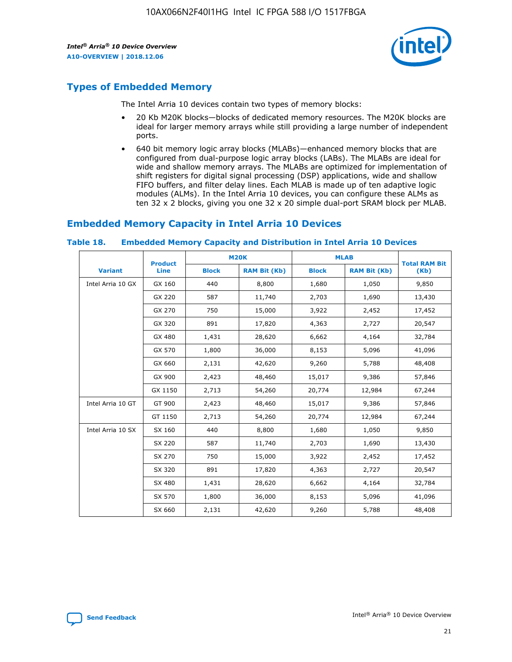

# **Types of Embedded Memory**

The Intel Arria 10 devices contain two types of memory blocks:

- 20 Kb M20K blocks—blocks of dedicated memory resources. The M20K blocks are ideal for larger memory arrays while still providing a large number of independent ports.
- 640 bit memory logic array blocks (MLABs)—enhanced memory blocks that are configured from dual-purpose logic array blocks (LABs). The MLABs are ideal for wide and shallow memory arrays. The MLABs are optimized for implementation of shift registers for digital signal processing (DSP) applications, wide and shallow FIFO buffers, and filter delay lines. Each MLAB is made up of ten adaptive logic modules (ALMs). In the Intel Arria 10 devices, you can configure these ALMs as ten 32 x 2 blocks, giving you one 32 x 20 simple dual-port SRAM block per MLAB.

# **Embedded Memory Capacity in Intel Arria 10 Devices**

|                   | <b>Product</b> |              | <b>M20K</b>         | <b>MLAB</b>  |                     | <b>Total RAM Bit</b> |
|-------------------|----------------|--------------|---------------------|--------------|---------------------|----------------------|
| <b>Variant</b>    | <b>Line</b>    | <b>Block</b> | <b>RAM Bit (Kb)</b> | <b>Block</b> | <b>RAM Bit (Kb)</b> | (Kb)                 |
| Intel Arria 10 GX | GX 160         | 440          | 8,800               | 1,680        | 1,050               | 9,850                |
|                   | GX 220         | 587          | 11,740              | 2,703        | 1,690               | 13,430               |
|                   | GX 270         | 750          | 15,000              | 3,922        | 2,452               | 17,452               |
|                   | GX 320         | 891          | 17,820              | 4,363        | 2,727               | 20,547               |
|                   | GX 480         | 1,431        | 28,620              | 6,662        | 4,164               | 32,784               |
|                   | GX 570         | 1,800        | 36,000              | 8,153        | 5,096               | 41,096               |
|                   | GX 660         | 2,131        | 42,620              | 9,260        | 5,788               | 48,408               |
|                   | GX 900         | 2,423        | 48,460              | 15,017       | 9,386               | 57,846               |
|                   | GX 1150        | 2,713        | 54,260              | 20,774       | 12,984              | 67,244               |
| Intel Arria 10 GT | GT 900         | 2,423        | 48,460              | 15,017       | 9,386               | 57,846               |
|                   | GT 1150        | 2,713        | 54,260              | 20,774       | 12,984              | 67,244               |
| Intel Arria 10 SX | SX 160         | 440          | 8,800               | 1,680        | 1,050               | 9,850                |
|                   | SX 220         | 587          | 11,740              | 2,703        | 1,690               | 13,430               |
|                   | SX 270         | 750          | 15,000              | 3,922        | 2,452               | 17,452               |
|                   | SX 320         | 891          | 17,820              | 4,363        | 2,727               | 20,547               |
|                   | SX 480         | 1,431        | 28,620              | 6,662        | 4,164               | 32,784               |
|                   | SX 570         | 1,800        | 36,000              | 8,153        | 5,096               | 41,096               |
|                   | SX 660         | 2,131        | 42,620              | 9,260        | 5,788               | 48,408               |

#### **Table 18. Embedded Memory Capacity and Distribution in Intel Arria 10 Devices**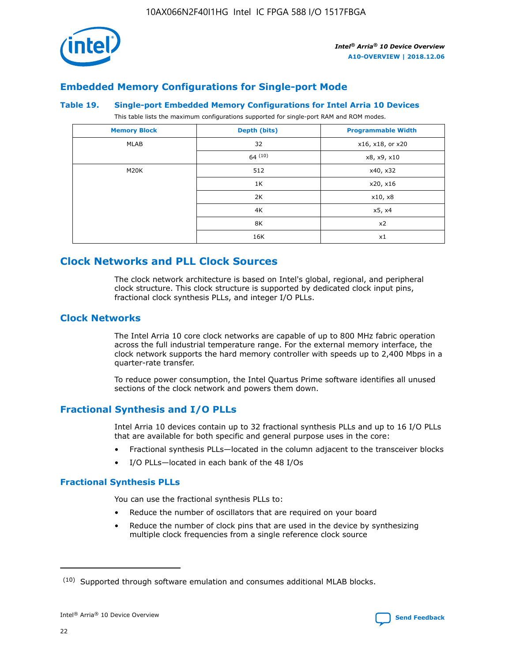

# **Embedded Memory Configurations for Single-port Mode**

#### **Table 19. Single-port Embedded Memory Configurations for Intel Arria 10 Devices**

This table lists the maximum configurations supported for single-port RAM and ROM modes.

| <b>Memory Block</b> | Depth (bits) | <b>Programmable Width</b> |
|---------------------|--------------|---------------------------|
| MLAB                | 32           | x16, x18, or x20          |
|                     | 64(10)       | x8, x9, x10               |
| M20K                | 512          | x40, x32                  |
|                     | 1K           | x20, x16                  |
|                     | 2K           | x10, x8                   |
|                     | 4K           | x5, x4                    |
|                     | 8K           | x2                        |
|                     | 16K          | x1                        |

# **Clock Networks and PLL Clock Sources**

The clock network architecture is based on Intel's global, regional, and peripheral clock structure. This clock structure is supported by dedicated clock input pins, fractional clock synthesis PLLs, and integer I/O PLLs.

# **Clock Networks**

The Intel Arria 10 core clock networks are capable of up to 800 MHz fabric operation across the full industrial temperature range. For the external memory interface, the clock network supports the hard memory controller with speeds up to 2,400 Mbps in a quarter-rate transfer.

To reduce power consumption, the Intel Quartus Prime software identifies all unused sections of the clock network and powers them down.

# **Fractional Synthesis and I/O PLLs**

Intel Arria 10 devices contain up to 32 fractional synthesis PLLs and up to 16 I/O PLLs that are available for both specific and general purpose uses in the core:

- Fractional synthesis PLLs—located in the column adjacent to the transceiver blocks
- I/O PLLs—located in each bank of the 48 I/Os

### **Fractional Synthesis PLLs**

You can use the fractional synthesis PLLs to:

- Reduce the number of oscillators that are required on your board
- Reduce the number of clock pins that are used in the device by synthesizing multiple clock frequencies from a single reference clock source

<sup>(10)</sup> Supported through software emulation and consumes additional MLAB blocks.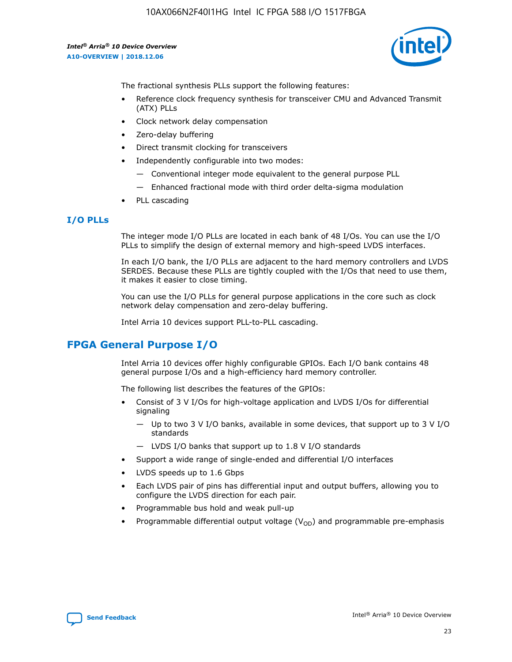

The fractional synthesis PLLs support the following features:

- Reference clock frequency synthesis for transceiver CMU and Advanced Transmit (ATX) PLLs
- Clock network delay compensation
- Zero-delay buffering
- Direct transmit clocking for transceivers
- Independently configurable into two modes:
	- Conventional integer mode equivalent to the general purpose PLL
	- Enhanced fractional mode with third order delta-sigma modulation
- PLL cascading

### **I/O PLLs**

The integer mode I/O PLLs are located in each bank of 48 I/Os. You can use the I/O PLLs to simplify the design of external memory and high-speed LVDS interfaces.

In each I/O bank, the I/O PLLs are adjacent to the hard memory controllers and LVDS SERDES. Because these PLLs are tightly coupled with the I/Os that need to use them, it makes it easier to close timing.

You can use the I/O PLLs for general purpose applications in the core such as clock network delay compensation and zero-delay buffering.

Intel Arria 10 devices support PLL-to-PLL cascading.

# **FPGA General Purpose I/O**

Intel Arria 10 devices offer highly configurable GPIOs. Each I/O bank contains 48 general purpose I/Os and a high-efficiency hard memory controller.

The following list describes the features of the GPIOs:

- Consist of 3 V I/Os for high-voltage application and LVDS I/Os for differential signaling
	- Up to two 3 V I/O banks, available in some devices, that support up to 3 V I/O standards
	- LVDS I/O banks that support up to 1.8 V I/O standards
- Support a wide range of single-ended and differential I/O interfaces
- LVDS speeds up to 1.6 Gbps
- Each LVDS pair of pins has differential input and output buffers, allowing you to configure the LVDS direction for each pair.
- Programmable bus hold and weak pull-up
- Programmable differential output voltage  $(V_{OD})$  and programmable pre-emphasis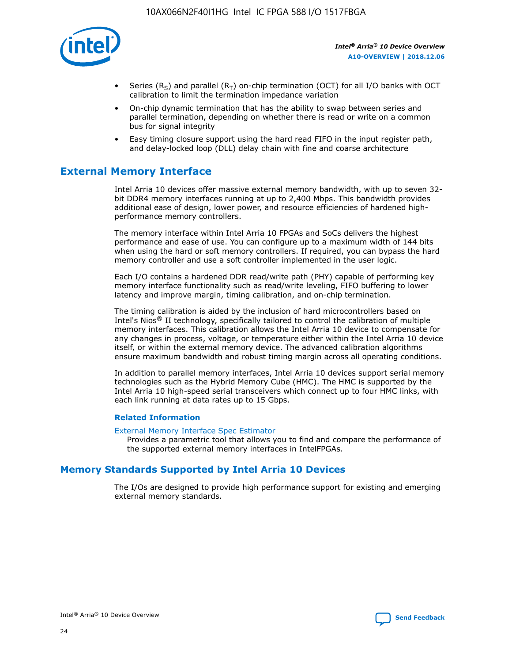

- Series (R<sub>S</sub>) and parallel (R<sub>T</sub>) on-chip termination (OCT) for all I/O banks with OCT calibration to limit the termination impedance variation
- On-chip dynamic termination that has the ability to swap between series and parallel termination, depending on whether there is read or write on a common bus for signal integrity
- Easy timing closure support using the hard read FIFO in the input register path, and delay-locked loop (DLL) delay chain with fine and coarse architecture

# **External Memory Interface**

Intel Arria 10 devices offer massive external memory bandwidth, with up to seven 32 bit DDR4 memory interfaces running at up to 2,400 Mbps. This bandwidth provides additional ease of design, lower power, and resource efficiencies of hardened highperformance memory controllers.

The memory interface within Intel Arria 10 FPGAs and SoCs delivers the highest performance and ease of use. You can configure up to a maximum width of 144 bits when using the hard or soft memory controllers. If required, you can bypass the hard memory controller and use a soft controller implemented in the user logic.

Each I/O contains a hardened DDR read/write path (PHY) capable of performing key memory interface functionality such as read/write leveling, FIFO buffering to lower latency and improve margin, timing calibration, and on-chip termination.

The timing calibration is aided by the inclusion of hard microcontrollers based on Intel's Nios® II technology, specifically tailored to control the calibration of multiple memory interfaces. This calibration allows the Intel Arria 10 device to compensate for any changes in process, voltage, or temperature either within the Intel Arria 10 device itself, or within the external memory device. The advanced calibration algorithms ensure maximum bandwidth and robust timing margin across all operating conditions.

In addition to parallel memory interfaces, Intel Arria 10 devices support serial memory technologies such as the Hybrid Memory Cube (HMC). The HMC is supported by the Intel Arria 10 high-speed serial transceivers which connect up to four HMC links, with each link running at data rates up to 15 Gbps.

### **Related Information**

#### [External Memory Interface Spec Estimator](http://www.altera.com/technology/memory/estimator/mem-emif-index.html)

Provides a parametric tool that allows you to find and compare the performance of the supported external memory interfaces in IntelFPGAs.

# **Memory Standards Supported by Intel Arria 10 Devices**

The I/Os are designed to provide high performance support for existing and emerging external memory standards.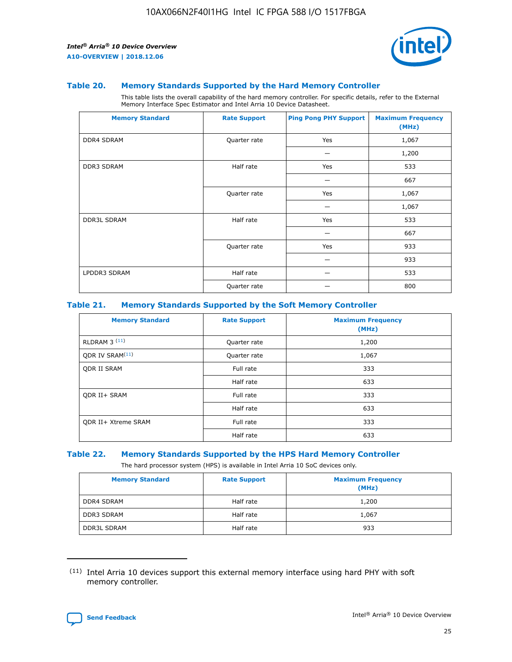

#### **Table 20. Memory Standards Supported by the Hard Memory Controller**

This table lists the overall capability of the hard memory controller. For specific details, refer to the External Memory Interface Spec Estimator and Intel Arria 10 Device Datasheet.

| <b>Memory Standard</b> | <b>Rate Support</b> | <b>Ping Pong PHY Support</b> | <b>Maximum Frequency</b><br>(MHz) |
|------------------------|---------------------|------------------------------|-----------------------------------|
| <b>DDR4 SDRAM</b>      | Quarter rate        | Yes                          | 1,067                             |
|                        |                     |                              | 1,200                             |
| DDR3 SDRAM             | Half rate           | Yes                          | 533                               |
|                        |                     |                              | 667                               |
|                        | Quarter rate        | Yes                          | 1,067                             |
|                        |                     |                              | 1,067                             |
| <b>DDR3L SDRAM</b>     | Half rate           | Yes                          | 533                               |
|                        |                     |                              | 667                               |
|                        | Quarter rate        | Yes                          | 933                               |
|                        |                     |                              | 933                               |
| LPDDR3 SDRAM           | Half rate           |                              | 533                               |
|                        | Quarter rate        |                              | 800                               |

### **Table 21. Memory Standards Supported by the Soft Memory Controller**

| <b>Memory Standard</b>      | <b>Rate Support</b> | <b>Maximum Frequency</b><br>(MHz) |
|-----------------------------|---------------------|-----------------------------------|
| <b>RLDRAM 3 (11)</b>        | Quarter rate        | 1,200                             |
| ODR IV SRAM <sup>(11)</sup> | Quarter rate        | 1,067                             |
| <b>ODR II SRAM</b>          | Full rate           | 333                               |
|                             | Half rate           | 633                               |
| <b>ODR II+ SRAM</b>         | Full rate           | 333                               |
|                             | Half rate           | 633                               |
| <b>ODR II+ Xtreme SRAM</b>  | Full rate           | 333                               |
|                             | Half rate           | 633                               |

#### **Table 22. Memory Standards Supported by the HPS Hard Memory Controller**

The hard processor system (HPS) is available in Intel Arria 10 SoC devices only.

| <b>Memory Standard</b> | <b>Rate Support</b> | <b>Maximum Frequency</b><br>(MHz) |
|------------------------|---------------------|-----------------------------------|
| <b>DDR4 SDRAM</b>      | Half rate           | 1,200                             |
| <b>DDR3 SDRAM</b>      | Half rate           | 1,067                             |
| <b>DDR3L SDRAM</b>     | Half rate           | 933                               |

<sup>(11)</sup> Intel Arria 10 devices support this external memory interface using hard PHY with soft memory controller.

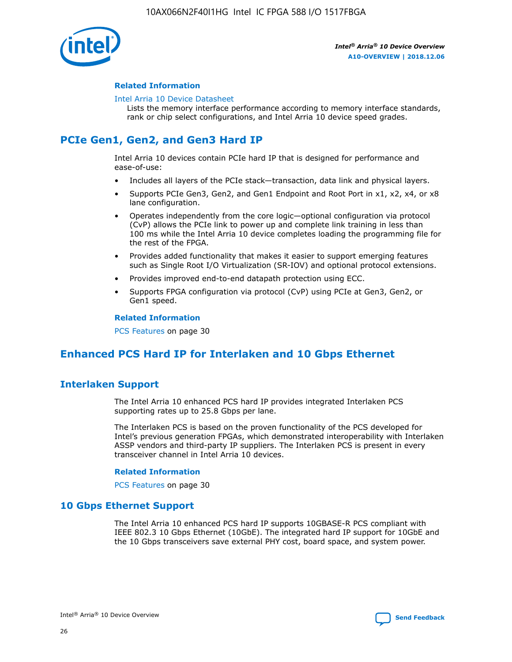

### **Related Information**

#### [Intel Arria 10 Device Datasheet](https://www.intel.com/content/www/us/en/programmable/documentation/mcn1413182292568.html#mcn1413182153340)

Lists the memory interface performance according to memory interface standards, rank or chip select configurations, and Intel Arria 10 device speed grades.

# **PCIe Gen1, Gen2, and Gen3 Hard IP**

Intel Arria 10 devices contain PCIe hard IP that is designed for performance and ease-of-use:

- Includes all layers of the PCIe stack—transaction, data link and physical layers.
- Supports PCIe Gen3, Gen2, and Gen1 Endpoint and Root Port in x1, x2, x4, or x8 lane configuration.
- Operates independently from the core logic—optional configuration via protocol (CvP) allows the PCIe link to power up and complete link training in less than 100 ms while the Intel Arria 10 device completes loading the programming file for the rest of the FPGA.
- Provides added functionality that makes it easier to support emerging features such as Single Root I/O Virtualization (SR-IOV) and optional protocol extensions.
- Provides improved end-to-end datapath protection using ECC.
- Supports FPGA configuration via protocol (CvP) using PCIe at Gen3, Gen2, or Gen1 speed.

#### **Related Information**

PCS Features on page 30

# **Enhanced PCS Hard IP for Interlaken and 10 Gbps Ethernet**

# **Interlaken Support**

The Intel Arria 10 enhanced PCS hard IP provides integrated Interlaken PCS supporting rates up to 25.8 Gbps per lane.

The Interlaken PCS is based on the proven functionality of the PCS developed for Intel's previous generation FPGAs, which demonstrated interoperability with Interlaken ASSP vendors and third-party IP suppliers. The Interlaken PCS is present in every transceiver channel in Intel Arria 10 devices.

### **Related Information**

PCS Features on page 30

# **10 Gbps Ethernet Support**

The Intel Arria 10 enhanced PCS hard IP supports 10GBASE-R PCS compliant with IEEE 802.3 10 Gbps Ethernet (10GbE). The integrated hard IP support for 10GbE and the 10 Gbps transceivers save external PHY cost, board space, and system power.

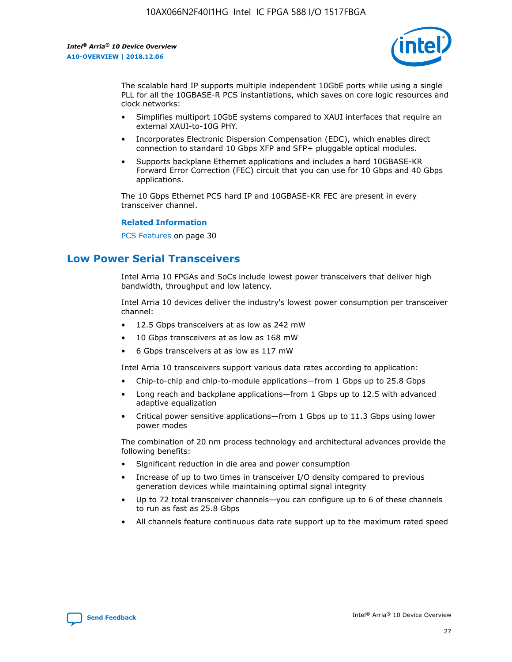

The scalable hard IP supports multiple independent 10GbE ports while using a single PLL for all the 10GBASE-R PCS instantiations, which saves on core logic resources and clock networks:

- Simplifies multiport 10GbE systems compared to XAUI interfaces that require an external XAUI-to-10G PHY.
- Incorporates Electronic Dispersion Compensation (EDC), which enables direct connection to standard 10 Gbps XFP and SFP+ pluggable optical modules.
- Supports backplane Ethernet applications and includes a hard 10GBASE-KR Forward Error Correction (FEC) circuit that you can use for 10 Gbps and 40 Gbps applications.

The 10 Gbps Ethernet PCS hard IP and 10GBASE-KR FEC are present in every transceiver channel.

#### **Related Information**

PCS Features on page 30

# **Low Power Serial Transceivers**

Intel Arria 10 FPGAs and SoCs include lowest power transceivers that deliver high bandwidth, throughput and low latency.

Intel Arria 10 devices deliver the industry's lowest power consumption per transceiver channel:

- 12.5 Gbps transceivers at as low as 242 mW
- 10 Gbps transceivers at as low as 168 mW
- 6 Gbps transceivers at as low as 117 mW

Intel Arria 10 transceivers support various data rates according to application:

- Chip-to-chip and chip-to-module applications—from 1 Gbps up to 25.8 Gbps
- Long reach and backplane applications—from 1 Gbps up to 12.5 with advanced adaptive equalization
- Critical power sensitive applications—from 1 Gbps up to 11.3 Gbps using lower power modes

The combination of 20 nm process technology and architectural advances provide the following benefits:

- Significant reduction in die area and power consumption
- Increase of up to two times in transceiver I/O density compared to previous generation devices while maintaining optimal signal integrity
- Up to 72 total transceiver channels—you can configure up to 6 of these channels to run as fast as 25.8 Gbps
- All channels feature continuous data rate support up to the maximum rated speed

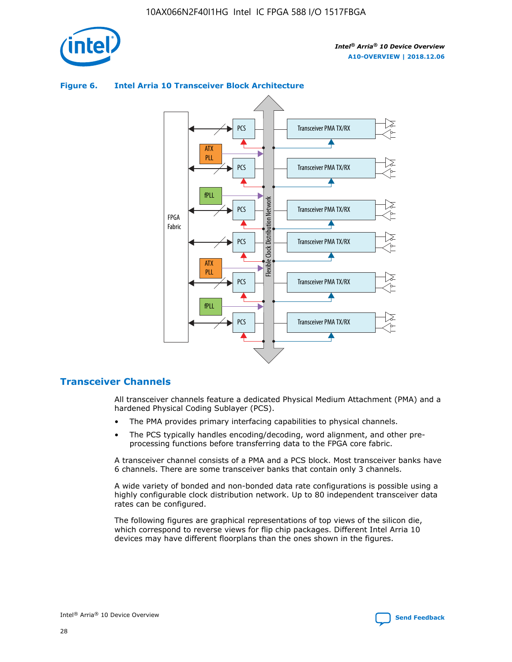

## **Figure 6. Intel Arria 10 Transceiver Block Architecture**



# **Transceiver Channels**

All transceiver channels feature a dedicated Physical Medium Attachment (PMA) and a hardened Physical Coding Sublayer (PCS).

- The PMA provides primary interfacing capabilities to physical channels.
- The PCS typically handles encoding/decoding, word alignment, and other preprocessing functions before transferring data to the FPGA core fabric.

A transceiver channel consists of a PMA and a PCS block. Most transceiver banks have 6 channels. There are some transceiver banks that contain only 3 channels.

A wide variety of bonded and non-bonded data rate configurations is possible using a highly configurable clock distribution network. Up to 80 independent transceiver data rates can be configured.

The following figures are graphical representations of top views of the silicon die, which correspond to reverse views for flip chip packages. Different Intel Arria 10 devices may have different floorplans than the ones shown in the figures.

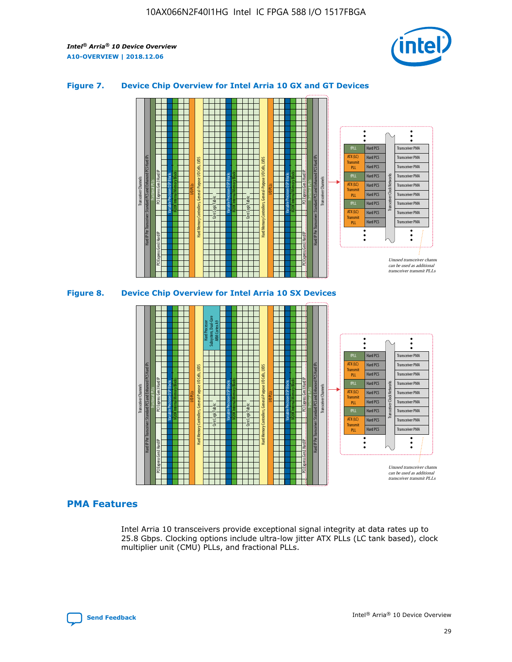

## **Figure 7. Device Chip Overview for Intel Arria 10 GX and GT Devices**



## **PMA Features**

Intel Arria 10 transceivers provide exceptional signal integrity at data rates up to 25.8 Gbps. Clocking options include ultra-low jitter ATX PLLs (LC tank based), clock multiplier unit (CMU) PLLs, and fractional PLLs.

Unused transceiver chann can be used as additional transceiver transmit PLLs

Transceiver PMA

Hard PCS

**Transmit** PLL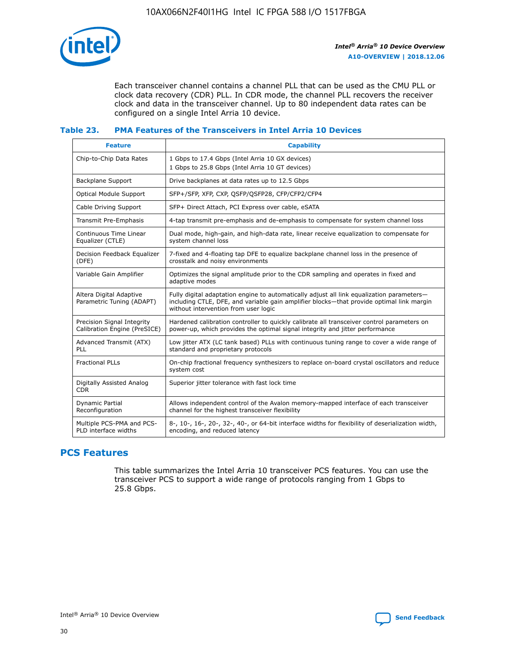

Each transceiver channel contains a channel PLL that can be used as the CMU PLL or clock data recovery (CDR) PLL. In CDR mode, the channel PLL recovers the receiver clock and data in the transceiver channel. Up to 80 independent data rates can be configured on a single Intel Arria 10 device.

## **Table 23. PMA Features of the Transceivers in Intel Arria 10 Devices**

| <b>Feature</b>                                             | <b>Capability</b>                                                                                                                                                                                                             |
|------------------------------------------------------------|-------------------------------------------------------------------------------------------------------------------------------------------------------------------------------------------------------------------------------|
| Chip-to-Chip Data Rates                                    | 1 Gbps to 17.4 Gbps (Intel Arria 10 GX devices)<br>1 Gbps to 25.8 Gbps (Intel Arria 10 GT devices)                                                                                                                            |
| <b>Backplane Support</b>                                   | Drive backplanes at data rates up to 12.5 Gbps                                                                                                                                                                                |
| <b>Optical Module Support</b>                              | SFP+/SFP, XFP, CXP, QSFP/QSFP28, CFP/CFP2/CFP4                                                                                                                                                                                |
| Cable Driving Support                                      | SFP+ Direct Attach, PCI Express over cable, eSATA                                                                                                                                                                             |
| Transmit Pre-Emphasis                                      | 4-tap transmit pre-emphasis and de-emphasis to compensate for system channel loss                                                                                                                                             |
| Continuous Time Linear<br>Equalizer (CTLE)                 | Dual mode, high-gain, and high-data rate, linear receive equalization to compensate for<br>system channel loss                                                                                                                |
| Decision Feedback Equalizer<br>(DFE)                       | 7-fixed and 4-floating tap DFE to equalize backplane channel loss in the presence of<br>crosstalk and noisy environments                                                                                                      |
| Variable Gain Amplifier                                    | Optimizes the signal amplitude prior to the CDR sampling and operates in fixed and<br>adaptive modes                                                                                                                          |
| Altera Digital Adaptive<br>Parametric Tuning (ADAPT)       | Fully digital adaptation engine to automatically adjust all link equalization parameters-<br>including CTLE, DFE, and variable gain amplifier blocks—that provide optimal link margin<br>without intervention from user logic |
| Precision Signal Integrity<br>Calibration Engine (PreSICE) | Hardened calibration controller to quickly calibrate all transceiver control parameters on<br>power-up, which provides the optimal signal integrity and jitter performance                                                    |
| Advanced Transmit (ATX)<br>PLL                             | Low jitter ATX (LC tank based) PLLs with continuous tuning range to cover a wide range of<br>standard and proprietary protocols                                                                                               |
| <b>Fractional PLLs</b>                                     | On-chip fractional frequency synthesizers to replace on-board crystal oscillators and reduce<br>system cost                                                                                                                   |
| Digitally Assisted Analog<br><b>CDR</b>                    | Superior jitter tolerance with fast lock time                                                                                                                                                                                 |
| <b>Dynamic Partial</b><br>Reconfiguration                  | Allows independent control of the Avalon memory-mapped interface of each transceiver<br>channel for the highest transceiver flexibility                                                                                       |
| Multiple PCS-PMA and PCS-<br>PLD interface widths          | 8-, 10-, 16-, 20-, 32-, 40-, or 64-bit interface widths for flexibility of deserialization width,<br>encoding, and reduced latency                                                                                            |

# **PCS Features**

This table summarizes the Intel Arria 10 transceiver PCS features. You can use the transceiver PCS to support a wide range of protocols ranging from 1 Gbps to 25.8 Gbps.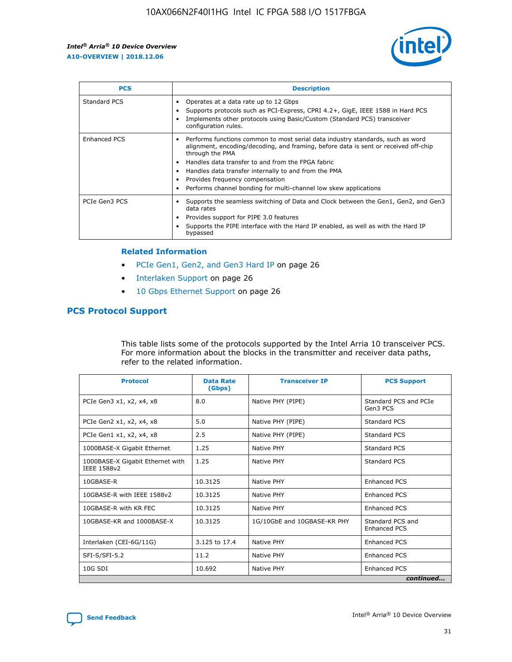

| <b>PCS</b>    | <b>Description</b>                                                                                                                                                                                                                                                                                                                                                                                             |
|---------------|----------------------------------------------------------------------------------------------------------------------------------------------------------------------------------------------------------------------------------------------------------------------------------------------------------------------------------------------------------------------------------------------------------------|
| Standard PCS  | Operates at a data rate up to 12 Gbps<br>Supports protocols such as PCI-Express, CPRI 4.2+, GigE, IEEE 1588 in Hard PCS<br>Implements other protocols using Basic/Custom (Standard PCS) transceiver<br>configuration rules.                                                                                                                                                                                    |
| Enhanced PCS  | Performs functions common to most serial data industry standards, such as word<br>alignment, encoding/decoding, and framing, before data is sent or received off-chip<br>through the PMA<br>• Handles data transfer to and from the FPGA fabric<br>Handles data transfer internally to and from the PMA<br>Provides frequency compensation<br>Performs channel bonding for multi-channel low skew applications |
| PCIe Gen3 PCS | Supports the seamless switching of Data and Clock between the Gen1, Gen2, and Gen3<br>data rates<br>Provides support for PIPE 3.0 features<br>Supports the PIPE interface with the Hard IP enabled, as well as with the Hard IP<br>bypassed                                                                                                                                                                    |

#### **Related Information**

- PCIe Gen1, Gen2, and Gen3 Hard IP on page 26
- Interlaken Support on page 26
- 10 Gbps Ethernet Support on page 26

# **PCS Protocol Support**

This table lists some of the protocols supported by the Intel Arria 10 transceiver PCS. For more information about the blocks in the transmitter and receiver data paths, refer to the related information.

| <b>Protocol</b>                                 | <b>Data Rate</b><br>(Gbps) | <b>Transceiver IP</b>       | <b>PCS Support</b>                      |
|-------------------------------------------------|----------------------------|-----------------------------|-----------------------------------------|
| PCIe Gen3 x1, x2, x4, x8                        | 8.0                        | Native PHY (PIPE)           | Standard PCS and PCIe<br>Gen3 PCS       |
| PCIe Gen2 x1, x2, x4, x8                        | 5.0                        | Native PHY (PIPE)           | <b>Standard PCS</b>                     |
| PCIe Gen1 x1, x2, x4, x8                        | 2.5                        | Native PHY (PIPE)           | Standard PCS                            |
| 1000BASE-X Gigabit Ethernet                     | 1.25                       | Native PHY                  | <b>Standard PCS</b>                     |
| 1000BASE-X Gigabit Ethernet with<br>IEEE 1588v2 | 1.25                       | Native PHY                  | Standard PCS                            |
| 10GBASE-R                                       | 10.3125                    | Native PHY                  | <b>Enhanced PCS</b>                     |
| 10GBASE-R with IEEE 1588v2                      | 10.3125                    | Native PHY                  | <b>Enhanced PCS</b>                     |
| 10GBASE-R with KR FEC                           | 10.3125                    | Native PHY                  | <b>Enhanced PCS</b>                     |
| 10GBASE-KR and 1000BASE-X                       | 10.3125                    | 1G/10GbE and 10GBASE-KR PHY | Standard PCS and<br><b>Enhanced PCS</b> |
| Interlaken (CEI-6G/11G)                         | 3.125 to 17.4              | Native PHY                  | <b>Enhanced PCS</b>                     |
| SFI-S/SFI-5.2                                   | 11.2                       | Native PHY                  | <b>Enhanced PCS</b>                     |
| $10G$ SDI                                       | 10.692                     | Native PHY                  | <b>Enhanced PCS</b>                     |
|                                                 |                            |                             | continued                               |

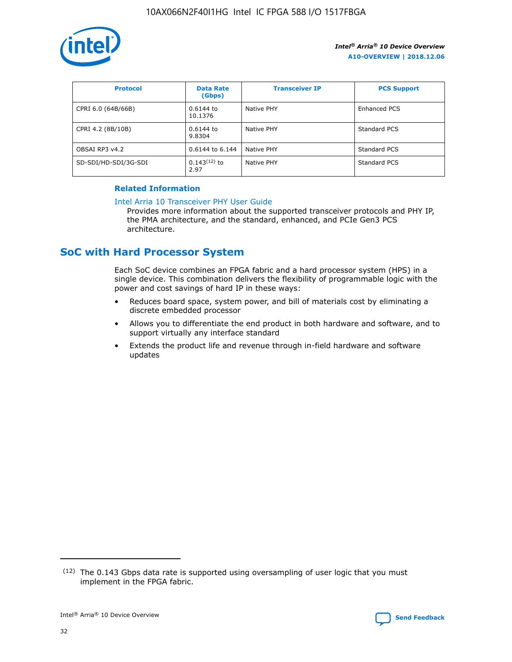

| <b>Protocol</b>      | <b>Data Rate</b><br>(Gbps) | <b>Transceiver IP</b> | <b>PCS Support</b> |
|----------------------|----------------------------|-----------------------|--------------------|
| CPRI 6.0 (64B/66B)   | 0.6144 to<br>10.1376       | Native PHY            | Enhanced PCS       |
| CPRI 4.2 (8B/10B)    | 0.6144 to<br>9.8304        | Native PHY            | Standard PCS       |
| OBSAI RP3 v4.2       | 0.6144 to 6.144            | Native PHY            | Standard PCS       |
| SD-SDI/HD-SDI/3G-SDI | $0.143(12)$ to<br>2.97     | Native PHY            | Standard PCS       |

## **Related Information**

#### [Intel Arria 10 Transceiver PHY User Guide](https://www.intel.com/content/www/us/en/programmable/documentation/nik1398707230472.html#nik1398707091164)

Provides more information about the supported transceiver protocols and PHY IP, the PMA architecture, and the standard, enhanced, and PCIe Gen3 PCS architecture.

# **SoC with Hard Processor System**

Each SoC device combines an FPGA fabric and a hard processor system (HPS) in a single device. This combination delivers the flexibility of programmable logic with the power and cost savings of hard IP in these ways:

- Reduces board space, system power, and bill of materials cost by eliminating a discrete embedded processor
- Allows you to differentiate the end product in both hardware and software, and to support virtually any interface standard
- Extends the product life and revenue through in-field hardware and software updates

 $(12)$  The 0.143 Gbps data rate is supported using oversampling of user logic that you must implement in the FPGA fabric.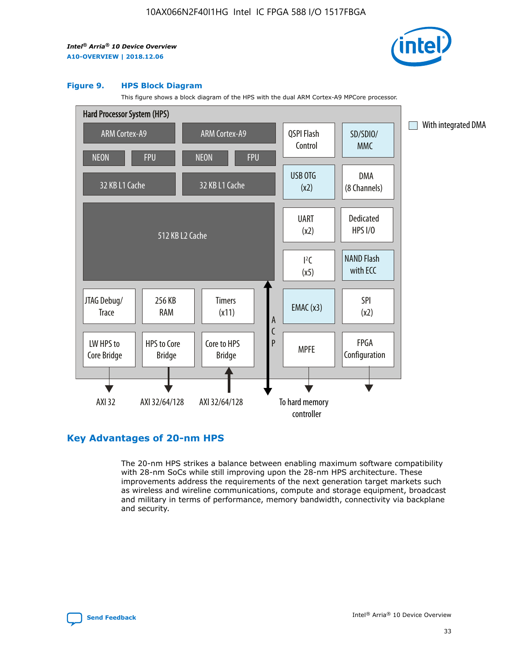

#### **Figure 9. HPS Block Diagram**

This figure shows a block diagram of the HPS with the dual ARM Cortex-A9 MPCore processor.



# **Key Advantages of 20-nm HPS**

The 20-nm HPS strikes a balance between enabling maximum software compatibility with 28-nm SoCs while still improving upon the 28-nm HPS architecture. These improvements address the requirements of the next generation target markets such as wireless and wireline communications, compute and storage equipment, broadcast and military in terms of performance, memory bandwidth, connectivity via backplane and security.

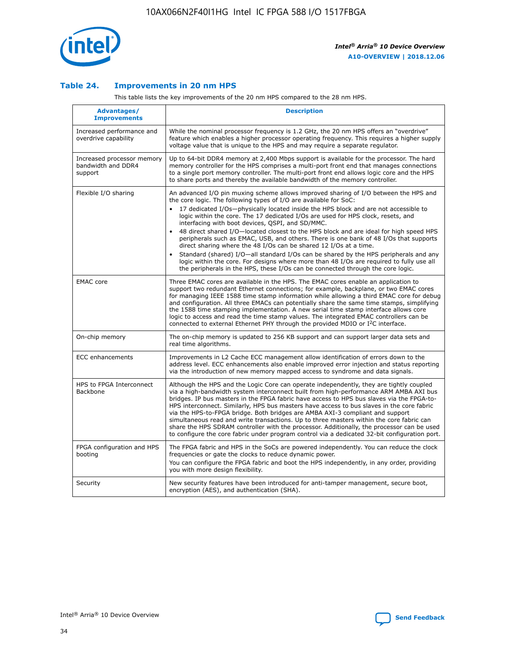

## **Table 24. Improvements in 20 nm HPS**

This table lists the key improvements of the 20 nm HPS compared to the 28 nm HPS.

| Advantages/<br><b>Improvements</b>                          | <b>Description</b>                                                                                                                                                                                                                                                                                                                                                                                                                                                                                                                                                                                                                                                                                                                                                                                                                                                                                                                                |
|-------------------------------------------------------------|---------------------------------------------------------------------------------------------------------------------------------------------------------------------------------------------------------------------------------------------------------------------------------------------------------------------------------------------------------------------------------------------------------------------------------------------------------------------------------------------------------------------------------------------------------------------------------------------------------------------------------------------------------------------------------------------------------------------------------------------------------------------------------------------------------------------------------------------------------------------------------------------------------------------------------------------------|
| Increased performance and<br>overdrive capability           | While the nominal processor frequency is 1.2 GHz, the 20 nm HPS offers an "overdrive"<br>feature which enables a higher processor operating frequency. This requires a higher supply<br>voltage value that is unique to the HPS and may require a separate regulator.                                                                                                                                                                                                                                                                                                                                                                                                                                                                                                                                                                                                                                                                             |
| Increased processor memory<br>bandwidth and DDR4<br>support | Up to 64-bit DDR4 memory at 2,400 Mbps support is available for the processor. The hard<br>memory controller for the HPS comprises a multi-port front end that manages connections<br>to a single port memory controller. The multi-port front end allows logic core and the HPS<br>to share ports and thereby the available bandwidth of the memory controller.                                                                                                                                                                                                                                                                                                                                                                                                                                                                                                                                                                                  |
| Flexible I/O sharing                                        | An advanced I/O pin muxing scheme allows improved sharing of I/O between the HPS and<br>the core logic. The following types of I/O are available for SoC:<br>17 dedicated I/Os-physically located inside the HPS block and are not accessible to<br>$\bullet$<br>logic within the core. The 17 dedicated I/Os are used for HPS clock, resets, and<br>interfacing with boot devices, QSPI, and SD/MMC.<br>48 direct shared I/O-located closest to the HPS block and are ideal for high speed HPS<br>$\bullet$<br>peripherals such as EMAC, USB, and others. There is one bank of 48 I/Os that supports<br>direct sharing where the 48 I/Os can be shared 12 I/Os at a time.<br>Standard (shared) I/O-all standard I/Os can be shared by the HPS peripherals and any<br>logic within the core. For designs where more than 48 I/Os are reguired to fully use all<br>the peripherals in the HPS, these I/Os can be connected through the core logic. |
| <b>EMAC</b> core                                            | Three EMAC cores are available in the HPS. The EMAC cores enable an application to<br>support two redundant Ethernet connections; for example, backplane, or two EMAC cores<br>for managing IEEE 1588 time stamp information while allowing a third EMAC core for debug<br>and configuration. All three EMACs can potentially share the same time stamps, simplifying<br>the 1588 time stamping implementation. A new serial time stamp interface allows core<br>logic to access and read the time stamp values. The integrated EMAC controllers can be<br>connected to external Ethernet PHY through the provided MDIO or I <sup>2</sup> C interface.                                                                                                                                                                                                                                                                                            |
| On-chip memory                                              | The on-chip memory is updated to 256 KB support and can support larger data sets and<br>real time algorithms.                                                                                                                                                                                                                                                                                                                                                                                                                                                                                                                                                                                                                                                                                                                                                                                                                                     |
| <b>ECC</b> enhancements                                     | Improvements in L2 Cache ECC management allow identification of errors down to the<br>address level. ECC enhancements also enable improved error injection and status reporting<br>via the introduction of new memory mapped access to syndrome and data signals.                                                                                                                                                                                                                                                                                                                                                                                                                                                                                                                                                                                                                                                                                 |
| HPS to FPGA Interconnect<br>Backbone                        | Although the HPS and the Logic Core can operate independently, they are tightly coupled<br>via a high-bandwidth system interconnect built from high-performance ARM AMBA AXI bus<br>bridges. IP bus masters in the FPGA fabric have access to HPS bus slaves via the FPGA-to-<br>HPS interconnect. Similarly, HPS bus masters have access to bus slaves in the core fabric<br>via the HPS-to-FPGA bridge. Both bridges are AMBA AXI-3 compliant and support<br>simultaneous read and write transactions. Up to three masters within the core fabric can<br>share the HPS SDRAM controller with the processor. Additionally, the processor can be used<br>to configure the core fabric under program control via a dedicated 32-bit configuration port.                                                                                                                                                                                            |
| FPGA configuration and HPS<br>booting                       | The FPGA fabric and HPS in the SoCs are powered independently. You can reduce the clock<br>frequencies or gate the clocks to reduce dynamic power.<br>You can configure the FPGA fabric and boot the HPS independently, in any order, providing<br>you with more design flexibility.                                                                                                                                                                                                                                                                                                                                                                                                                                                                                                                                                                                                                                                              |
| Security                                                    | New security features have been introduced for anti-tamper management, secure boot,<br>encryption (AES), and authentication (SHA).                                                                                                                                                                                                                                                                                                                                                                                                                                                                                                                                                                                                                                                                                                                                                                                                                |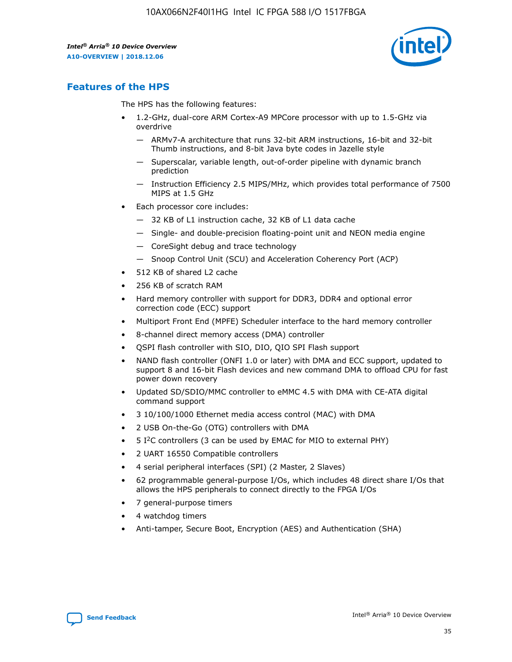

# **Features of the HPS**

The HPS has the following features:

- 1.2-GHz, dual-core ARM Cortex-A9 MPCore processor with up to 1.5-GHz via overdrive
	- ARMv7-A architecture that runs 32-bit ARM instructions, 16-bit and 32-bit Thumb instructions, and 8-bit Java byte codes in Jazelle style
	- Superscalar, variable length, out-of-order pipeline with dynamic branch prediction
	- Instruction Efficiency 2.5 MIPS/MHz, which provides total performance of 7500 MIPS at 1.5 GHz
- Each processor core includes:
	- 32 KB of L1 instruction cache, 32 KB of L1 data cache
	- Single- and double-precision floating-point unit and NEON media engine
	- CoreSight debug and trace technology
	- Snoop Control Unit (SCU) and Acceleration Coherency Port (ACP)
- 512 KB of shared L2 cache
- 256 KB of scratch RAM
- Hard memory controller with support for DDR3, DDR4 and optional error correction code (ECC) support
- Multiport Front End (MPFE) Scheduler interface to the hard memory controller
- 8-channel direct memory access (DMA) controller
- QSPI flash controller with SIO, DIO, QIO SPI Flash support
- NAND flash controller (ONFI 1.0 or later) with DMA and ECC support, updated to support 8 and 16-bit Flash devices and new command DMA to offload CPU for fast power down recovery
- Updated SD/SDIO/MMC controller to eMMC 4.5 with DMA with CE-ATA digital command support
- 3 10/100/1000 Ethernet media access control (MAC) with DMA
- 2 USB On-the-Go (OTG) controllers with DMA
- $\bullet$  5 I<sup>2</sup>C controllers (3 can be used by EMAC for MIO to external PHY)
- 2 UART 16550 Compatible controllers
- 4 serial peripheral interfaces (SPI) (2 Master, 2 Slaves)
- 62 programmable general-purpose I/Os, which includes 48 direct share I/Os that allows the HPS peripherals to connect directly to the FPGA I/Os
- 7 general-purpose timers
- 4 watchdog timers
- Anti-tamper, Secure Boot, Encryption (AES) and Authentication (SHA)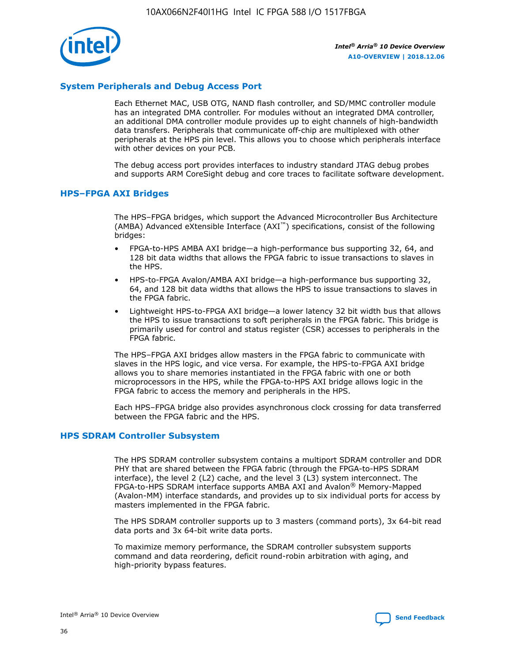

# **System Peripherals and Debug Access Port**

Each Ethernet MAC, USB OTG, NAND flash controller, and SD/MMC controller module has an integrated DMA controller. For modules without an integrated DMA controller, an additional DMA controller module provides up to eight channels of high-bandwidth data transfers. Peripherals that communicate off-chip are multiplexed with other peripherals at the HPS pin level. This allows you to choose which peripherals interface with other devices on your PCB.

The debug access port provides interfaces to industry standard JTAG debug probes and supports ARM CoreSight debug and core traces to facilitate software development.

## **HPS–FPGA AXI Bridges**

The HPS–FPGA bridges, which support the Advanced Microcontroller Bus Architecture (AMBA) Advanced eXtensible Interface (AXI™) specifications, consist of the following bridges:

- FPGA-to-HPS AMBA AXI bridge—a high-performance bus supporting 32, 64, and 128 bit data widths that allows the FPGA fabric to issue transactions to slaves in the HPS.
- HPS-to-FPGA Avalon/AMBA AXI bridge—a high-performance bus supporting 32, 64, and 128 bit data widths that allows the HPS to issue transactions to slaves in the FPGA fabric.
- Lightweight HPS-to-FPGA AXI bridge—a lower latency 32 bit width bus that allows the HPS to issue transactions to soft peripherals in the FPGA fabric. This bridge is primarily used for control and status register (CSR) accesses to peripherals in the FPGA fabric.

The HPS–FPGA AXI bridges allow masters in the FPGA fabric to communicate with slaves in the HPS logic, and vice versa. For example, the HPS-to-FPGA AXI bridge allows you to share memories instantiated in the FPGA fabric with one or both microprocessors in the HPS, while the FPGA-to-HPS AXI bridge allows logic in the FPGA fabric to access the memory and peripherals in the HPS.

Each HPS–FPGA bridge also provides asynchronous clock crossing for data transferred between the FPGA fabric and the HPS.

### **HPS SDRAM Controller Subsystem**

The HPS SDRAM controller subsystem contains a multiport SDRAM controller and DDR PHY that are shared between the FPGA fabric (through the FPGA-to-HPS SDRAM interface), the level 2 (L2) cache, and the level 3 (L3) system interconnect. The FPGA-to-HPS SDRAM interface supports AMBA AXI and Avalon® Memory-Mapped (Avalon-MM) interface standards, and provides up to six individual ports for access by masters implemented in the FPGA fabric.

The HPS SDRAM controller supports up to 3 masters (command ports), 3x 64-bit read data ports and 3x 64-bit write data ports.

To maximize memory performance, the SDRAM controller subsystem supports command and data reordering, deficit round-robin arbitration with aging, and high-priority bypass features.

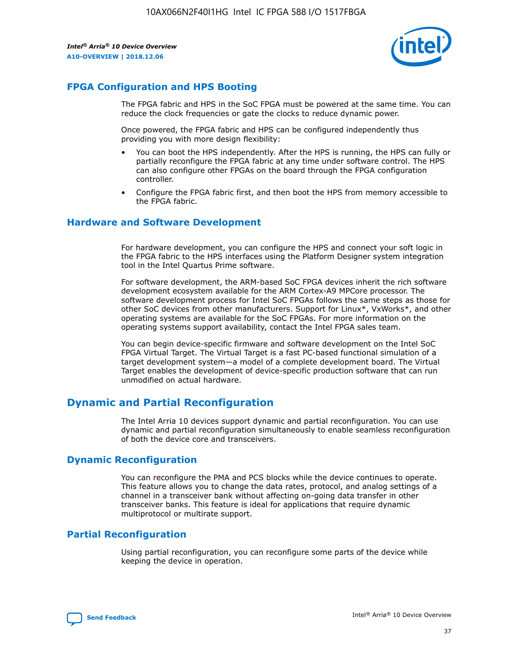

# **FPGA Configuration and HPS Booting**

The FPGA fabric and HPS in the SoC FPGA must be powered at the same time. You can reduce the clock frequencies or gate the clocks to reduce dynamic power.

Once powered, the FPGA fabric and HPS can be configured independently thus providing you with more design flexibility:

- You can boot the HPS independently. After the HPS is running, the HPS can fully or partially reconfigure the FPGA fabric at any time under software control. The HPS can also configure other FPGAs on the board through the FPGA configuration controller.
- Configure the FPGA fabric first, and then boot the HPS from memory accessible to the FPGA fabric.

## **Hardware and Software Development**

For hardware development, you can configure the HPS and connect your soft logic in the FPGA fabric to the HPS interfaces using the Platform Designer system integration tool in the Intel Quartus Prime software.

For software development, the ARM-based SoC FPGA devices inherit the rich software development ecosystem available for the ARM Cortex-A9 MPCore processor. The software development process for Intel SoC FPGAs follows the same steps as those for other SoC devices from other manufacturers. Support for Linux\*, VxWorks\*, and other operating systems are available for the SoC FPGAs. For more information on the operating systems support availability, contact the Intel FPGA sales team.

You can begin device-specific firmware and software development on the Intel SoC FPGA Virtual Target. The Virtual Target is a fast PC-based functional simulation of a target development system—a model of a complete development board. The Virtual Target enables the development of device-specific production software that can run unmodified on actual hardware.

# **Dynamic and Partial Reconfiguration**

The Intel Arria 10 devices support dynamic and partial reconfiguration. You can use dynamic and partial reconfiguration simultaneously to enable seamless reconfiguration of both the device core and transceivers.

# **Dynamic Reconfiguration**

You can reconfigure the PMA and PCS blocks while the device continues to operate. This feature allows you to change the data rates, protocol, and analog settings of a channel in a transceiver bank without affecting on-going data transfer in other transceiver banks. This feature is ideal for applications that require dynamic multiprotocol or multirate support.

# **Partial Reconfiguration**

Using partial reconfiguration, you can reconfigure some parts of the device while keeping the device in operation.

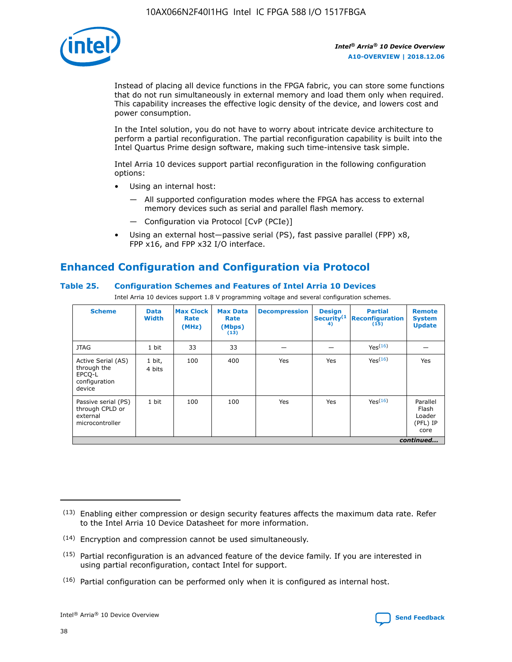

Instead of placing all device functions in the FPGA fabric, you can store some functions that do not run simultaneously in external memory and load them only when required. This capability increases the effective logic density of the device, and lowers cost and power consumption.

In the Intel solution, you do not have to worry about intricate device architecture to perform a partial reconfiguration. The partial reconfiguration capability is built into the Intel Quartus Prime design software, making such time-intensive task simple.

Intel Arria 10 devices support partial reconfiguration in the following configuration options:

- Using an internal host:
	- All supported configuration modes where the FPGA has access to external memory devices such as serial and parallel flash memory.
	- Configuration via Protocol [CvP (PCIe)]
- Using an external host—passive serial (PS), fast passive parallel (FPP) x8, FPP x16, and FPP x32 I/O interface.

# **Enhanced Configuration and Configuration via Protocol**

## **Table 25. Configuration Schemes and Features of Intel Arria 10 Devices**

Intel Arria 10 devices support 1.8 V programming voltage and several configuration schemes.

| <b>Scheme</b>                                                          | <b>Data</b><br><b>Width</b> | <b>Max Clock</b><br>Rate<br>(MHz) | <b>Max Data</b><br>Rate<br>(Mbps)<br>(13) | <b>Decompression</b> | <b>Design</b><br>Security <sup>(1</sup><br>4) | <b>Partial</b><br>Reconfiguration<br>(15) | <b>Remote</b><br><b>System</b><br><b>Update</b> |
|------------------------------------------------------------------------|-----------------------------|-----------------------------------|-------------------------------------------|----------------------|-----------------------------------------------|-------------------------------------------|-------------------------------------------------|
| <b>JTAG</b>                                                            | 1 bit                       | 33                                | 33                                        |                      |                                               | Yes <sup>(16)</sup>                       |                                                 |
| Active Serial (AS)<br>through the<br>EPCO-L<br>configuration<br>device | 1 bit,<br>4 bits            | 100                               | 400                                       | Yes                  | Yes                                           | $Y_{PS}(16)$                              | Yes                                             |
| Passive serial (PS)<br>through CPLD or<br>external<br>microcontroller  | 1 bit                       | 100                               | 100                                       | Yes                  | Yes                                           | Yes(16)                                   | Parallel<br>Flash<br>Loader<br>(PFL) IP<br>core |
|                                                                        |                             |                                   |                                           |                      |                                               |                                           | continued                                       |

<sup>(13)</sup> Enabling either compression or design security features affects the maximum data rate. Refer to the Intel Arria 10 Device Datasheet for more information.

<sup>(14)</sup> Encryption and compression cannot be used simultaneously.

 $(15)$  Partial reconfiguration is an advanced feature of the device family. If you are interested in using partial reconfiguration, contact Intel for support.

 $(16)$  Partial configuration can be performed only when it is configured as internal host.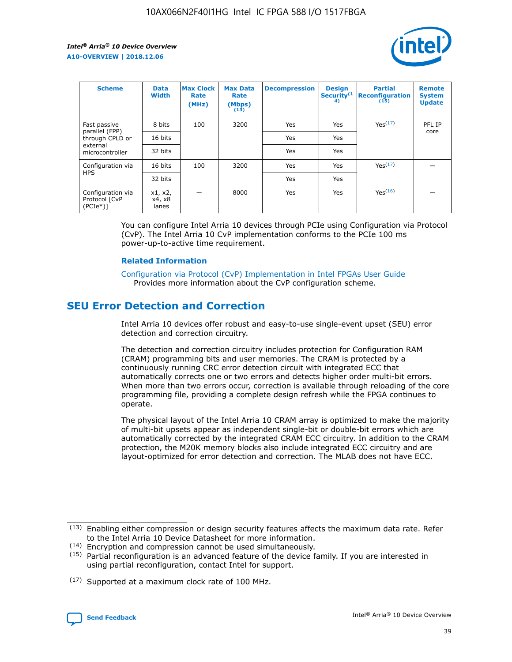

| <b>Scheme</b>                                   | <b>Data</b><br><b>Width</b> | <b>Max Clock</b><br>Rate<br>(MHz) | <b>Max Data</b><br>Rate<br>(Mbps)<br>(13) | <b>Decompression</b> | <b>Design</b><br>Security <sup>(1</sup><br>4) | <b>Partial</b><br><b>Reconfiguration</b><br>(15) | <b>Remote</b><br><b>System</b><br><b>Update</b> |
|-------------------------------------------------|-----------------------------|-----------------------------------|-------------------------------------------|----------------------|-----------------------------------------------|--------------------------------------------------|-------------------------------------------------|
| Fast passive                                    | 8 bits                      | 100                               | 3200                                      | Yes                  | Yes                                           | Yes(17)                                          | PFL IP                                          |
| parallel (FPP)<br>through CPLD or               | 16 bits                     |                                   |                                           | Yes                  | Yes                                           |                                                  | core                                            |
| external<br>microcontroller                     | 32 bits                     |                                   |                                           | Yes                  | Yes                                           |                                                  |                                                 |
| Configuration via                               | 16 bits                     | 100                               | 3200                                      | Yes                  | Yes                                           | Yes <sup>(17)</sup>                              |                                                 |
| <b>HPS</b>                                      | 32 bits                     |                                   |                                           | Yes                  | Yes                                           |                                                  |                                                 |
| Configuration via<br>Protocol [CvP<br>$(PCIe*)$ | x1, x2,<br>x4, x8<br>lanes  |                                   | 8000                                      | Yes                  | Yes                                           | Yes(16)                                          |                                                 |

You can configure Intel Arria 10 devices through PCIe using Configuration via Protocol (CvP). The Intel Arria 10 CvP implementation conforms to the PCIe 100 ms power-up-to-active time requirement.

### **Related Information**

[Configuration via Protocol \(CvP\) Implementation in Intel FPGAs User Guide](https://www.intel.com/content/www/us/en/programmable/documentation/dsu1441819344145.html#dsu1442269728522) Provides more information about the CvP configuration scheme.

# **SEU Error Detection and Correction**

Intel Arria 10 devices offer robust and easy-to-use single-event upset (SEU) error detection and correction circuitry.

The detection and correction circuitry includes protection for Configuration RAM (CRAM) programming bits and user memories. The CRAM is protected by a continuously running CRC error detection circuit with integrated ECC that automatically corrects one or two errors and detects higher order multi-bit errors. When more than two errors occur, correction is available through reloading of the core programming file, providing a complete design refresh while the FPGA continues to operate.

The physical layout of the Intel Arria 10 CRAM array is optimized to make the majority of multi-bit upsets appear as independent single-bit or double-bit errors which are automatically corrected by the integrated CRAM ECC circuitry. In addition to the CRAM protection, the M20K memory blocks also include integrated ECC circuitry and are layout-optimized for error detection and correction. The MLAB does not have ECC.

(14) Encryption and compression cannot be used simultaneously.

<sup>(17)</sup> Supported at a maximum clock rate of 100 MHz.



 $(13)$  Enabling either compression or design security features affects the maximum data rate. Refer to the Intel Arria 10 Device Datasheet for more information.

 $(15)$  Partial reconfiguration is an advanced feature of the device family. If you are interested in using partial reconfiguration, contact Intel for support.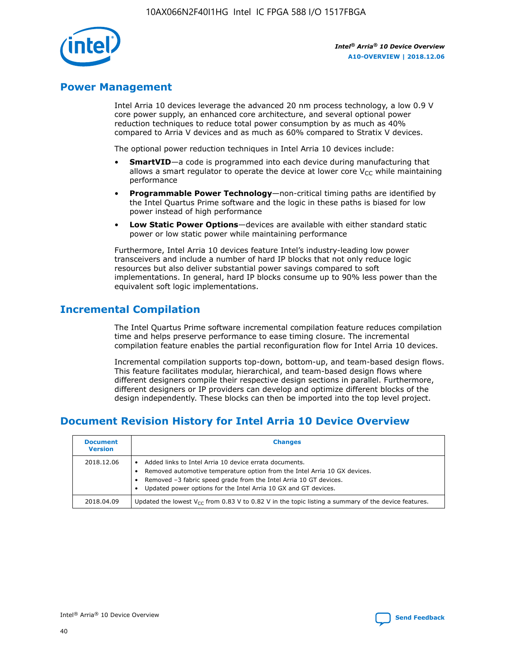

# **Power Management**

Intel Arria 10 devices leverage the advanced 20 nm process technology, a low 0.9 V core power supply, an enhanced core architecture, and several optional power reduction techniques to reduce total power consumption by as much as 40% compared to Arria V devices and as much as 60% compared to Stratix V devices.

The optional power reduction techniques in Intel Arria 10 devices include:

- **SmartVID**—a code is programmed into each device during manufacturing that allows a smart regulator to operate the device at lower core  $V_{CC}$  while maintaining performance
- **Programmable Power Technology**—non-critical timing paths are identified by the Intel Quartus Prime software and the logic in these paths is biased for low power instead of high performance
- **Low Static Power Options**—devices are available with either standard static power or low static power while maintaining performance

Furthermore, Intel Arria 10 devices feature Intel's industry-leading low power transceivers and include a number of hard IP blocks that not only reduce logic resources but also deliver substantial power savings compared to soft implementations. In general, hard IP blocks consume up to 90% less power than the equivalent soft logic implementations.

# **Incremental Compilation**

The Intel Quartus Prime software incremental compilation feature reduces compilation time and helps preserve performance to ease timing closure. The incremental compilation feature enables the partial reconfiguration flow for Intel Arria 10 devices.

Incremental compilation supports top-down, bottom-up, and team-based design flows. This feature facilitates modular, hierarchical, and team-based design flows where different designers compile their respective design sections in parallel. Furthermore, different designers or IP providers can develop and optimize different blocks of the design independently. These blocks can then be imported into the top level project.

# **Document Revision History for Intel Arria 10 Device Overview**

| <b>Document</b><br><b>Version</b> | <b>Changes</b>                                                                                                                                                                                                                                                              |
|-----------------------------------|-----------------------------------------------------------------------------------------------------------------------------------------------------------------------------------------------------------------------------------------------------------------------------|
| 2018.12.06                        | Added links to Intel Arria 10 device errata documents.<br>Removed automotive temperature option from the Intel Arria 10 GX devices.<br>Removed -3 fabric speed grade from the Intel Arria 10 GT devices.<br>Updated power options for the Intel Arria 10 GX and GT devices. |
| 2018.04.09                        | Updated the lowest $V_{CC}$ from 0.83 V to 0.82 V in the topic listing a summary of the device features.                                                                                                                                                                    |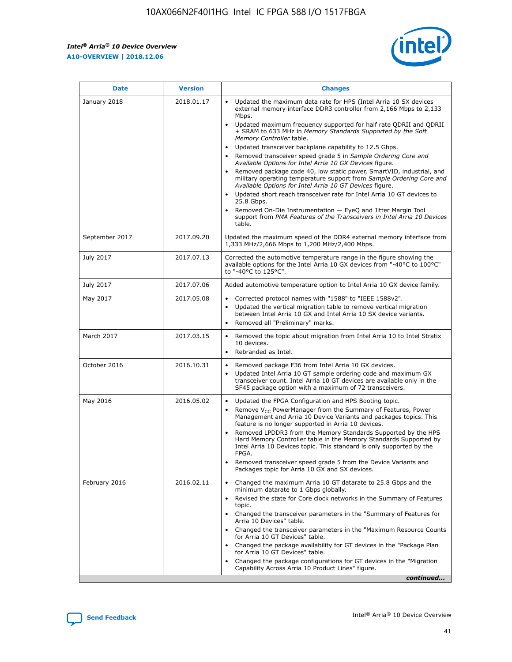*Intel® Arria® 10 Device Overview* **A10-OVERVIEW | 2018.12.06**



| <b>Date</b>    | <b>Version</b> | <b>Changes</b>                                                                                                                                                                                                                                                                                                                                                                                                                                                                                                                                                                                                                                                                                                                                                                                                                                                                                                                                                            |
|----------------|----------------|---------------------------------------------------------------------------------------------------------------------------------------------------------------------------------------------------------------------------------------------------------------------------------------------------------------------------------------------------------------------------------------------------------------------------------------------------------------------------------------------------------------------------------------------------------------------------------------------------------------------------------------------------------------------------------------------------------------------------------------------------------------------------------------------------------------------------------------------------------------------------------------------------------------------------------------------------------------------------|
| January 2018   | 2018.01.17     | Updated the maximum data rate for HPS (Intel Arria 10 SX devices<br>external memory interface DDR3 controller from 2,166 Mbps to 2,133<br>Mbps.<br>Updated maximum frequency supported for half rate QDRII and QDRII<br>+ SRAM to 633 MHz in Memory Standards Supported by the Soft<br>Memory Controller table.<br>Updated transceiver backplane capability to 12.5 Gbps.<br>$\bullet$<br>Removed transceiver speed grade 5 in Sample Ordering Core and<br>Available Options for Intel Arria 10 GX Devices figure.<br>Removed package code 40, low static power, SmartVID, industrial, and<br>military operating temperature support from Sample Ordering Core and<br>Available Options for Intel Arria 10 GT Devices figure.<br>Updated short reach transceiver rate for Intel Arria 10 GT devices to<br>25.8 Gbps.<br>Removed On-Die Instrumentation - EyeQ and Jitter Margin Tool<br>support from PMA Features of the Transceivers in Intel Arria 10 Devices<br>table. |
| September 2017 | 2017.09.20     | Updated the maximum speed of the DDR4 external memory interface from<br>1,333 MHz/2,666 Mbps to 1,200 MHz/2,400 Mbps.                                                                                                                                                                                                                                                                                                                                                                                                                                                                                                                                                                                                                                                                                                                                                                                                                                                     |
| July 2017      | 2017.07.13     | Corrected the automotive temperature range in the figure showing the<br>available options for the Intel Arria 10 GX devices from "-40°C to 100°C"<br>to "-40°C to 125°C".                                                                                                                                                                                                                                                                                                                                                                                                                                                                                                                                                                                                                                                                                                                                                                                                 |
| July 2017      | 2017.07.06     | Added automotive temperature option to Intel Arria 10 GX device family.                                                                                                                                                                                                                                                                                                                                                                                                                                                                                                                                                                                                                                                                                                                                                                                                                                                                                                   |
| May 2017       | 2017.05.08     | Corrected protocol names with "1588" to "IEEE 1588v2".<br>Updated the vertical migration table to remove vertical migration<br>between Intel Arria 10 GX and Intel Arria 10 SX device variants.<br>Removed all "Preliminary" marks.                                                                                                                                                                                                                                                                                                                                                                                                                                                                                                                                                                                                                                                                                                                                       |
| March 2017     | 2017.03.15     | Removed the topic about migration from Intel Arria 10 to Intel Stratix<br>10 devices.<br>Rebranded as Intel.<br>$\bullet$                                                                                                                                                                                                                                                                                                                                                                                                                                                                                                                                                                                                                                                                                                                                                                                                                                                 |
| October 2016   | 2016.10.31     | Removed package F36 from Intel Arria 10 GX devices.<br>Updated Intel Arria 10 GT sample ordering code and maximum GX<br>$\bullet$<br>transceiver count. Intel Arria 10 GT devices are available only in the<br>SF45 package option with a maximum of 72 transceivers.                                                                                                                                                                                                                                                                                                                                                                                                                                                                                                                                                                                                                                                                                                     |
| May 2016       | 2016.05.02     | Updated the FPGA Configuration and HPS Booting topic.<br>Remove V <sub>CC</sub> PowerManager from the Summary of Features, Power<br>Management and Arria 10 Device Variants and packages topics. This<br>feature is no longer supported in Arria 10 devices.<br>Removed LPDDR3 from the Memory Standards Supported by the HPS<br>Hard Memory Controller table in the Memory Standards Supported by<br>Intel Arria 10 Devices topic. This standard is only supported by the<br>FPGA.<br>Removed transceiver speed grade 5 from the Device Variants and<br>Packages topic for Arria 10 GX and SX devices.                                                                                                                                                                                                                                                                                                                                                                   |
| February 2016  | 2016.02.11     | Changed the maximum Arria 10 GT datarate to 25.8 Gbps and the<br>minimum datarate to 1 Gbps globally.<br>Revised the state for Core clock networks in the Summary of Features<br>$\bullet$<br>topic.<br>Changed the transceiver parameters in the "Summary of Features for<br>Arria 10 Devices" table.<br>• Changed the transceiver parameters in the "Maximum Resource Counts<br>for Arria 10 GT Devices" table.<br>• Changed the package availability for GT devices in the "Package Plan<br>for Arria 10 GT Devices" table.<br>Changed the package configurations for GT devices in the "Migration"<br>Capability Across Arria 10 Product Lines" figure.<br>continued                                                                                                                                                                                                                                                                                                  |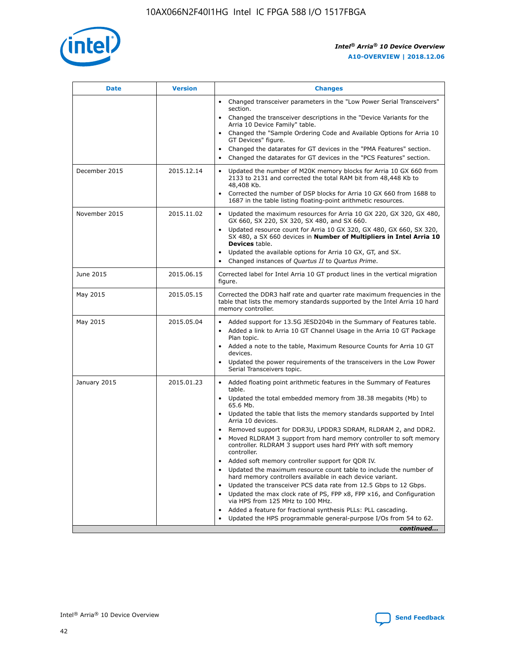

| <b>Date</b>   | <b>Version</b> | <b>Changes</b>                                                                                                                                                                   |
|---------------|----------------|----------------------------------------------------------------------------------------------------------------------------------------------------------------------------------|
|               |                | • Changed transceiver parameters in the "Low Power Serial Transceivers"<br>section.                                                                                              |
|               |                | • Changed the transceiver descriptions in the "Device Variants for the<br>Arria 10 Device Family" table.                                                                         |
|               |                | Changed the "Sample Ordering Code and Available Options for Arria 10<br>GT Devices" figure.                                                                                      |
|               |                | Changed the datarates for GT devices in the "PMA Features" section.                                                                                                              |
|               |                | Changed the datarates for GT devices in the "PCS Features" section.<br>$\bullet$                                                                                                 |
| December 2015 | 2015.12.14     | Updated the number of M20K memory blocks for Arria 10 GX 660 from<br>$\bullet$<br>2133 to 2131 and corrected the total RAM bit from 48,448 Kb to<br>48,408 Kb.                   |
|               |                | Corrected the number of DSP blocks for Arria 10 GX 660 from 1688 to<br>$\bullet$<br>1687 in the table listing floating-point arithmetic resources.                               |
| November 2015 | 2015.11.02     | Updated the maximum resources for Arria 10 GX 220, GX 320, GX 480,<br>$\bullet$<br>GX 660, SX 220, SX 320, SX 480, and SX 660.                                                   |
|               |                | Updated resource count for Arria 10 GX 320, GX 480, GX 660, SX 320,<br>$\bullet$<br>SX 480, a SX 660 devices in Number of Multipliers in Intel Arria 10<br><b>Devices</b> table. |
|               |                | Updated the available options for Arria 10 GX, GT, and SX.<br>$\bullet$                                                                                                          |
|               |                | Changed instances of Quartus II to Quartus Prime.<br>$\bullet$                                                                                                                   |
| June 2015     | 2015.06.15     | Corrected label for Intel Arria 10 GT product lines in the vertical migration<br>figure.                                                                                         |
| May 2015      | 2015.05.15     | Corrected the DDR3 half rate and quarter rate maximum frequencies in the<br>table that lists the memory standards supported by the Intel Arria 10 hard<br>memory controller.     |
| May 2015      | 2015.05.04     | • Added support for 13.5G JESD204b in the Summary of Features table.<br>• Added a link to Arria 10 GT Channel Usage in the Arria 10 GT Package<br>Plan topic.                    |
|               |                | • Added a note to the table, Maximum Resource Counts for Arria 10 GT<br>devices.                                                                                                 |
|               |                | Updated the power requirements of the transceivers in the Low Power<br>Serial Transceivers topic.                                                                                |
| January 2015  | 2015.01.23     | • Added floating point arithmetic features in the Summary of Features<br>table.                                                                                                  |
|               |                | • Updated the total embedded memory from 38.38 megabits (Mb) to<br>65.6 Mb.                                                                                                      |
|               |                | • Updated the table that lists the memory standards supported by Intel<br>Arria 10 devices.                                                                                      |
|               |                | Removed support for DDR3U, LPDDR3 SDRAM, RLDRAM 2, and DDR2.<br>Moved RLDRAM 3 support from hard memory controller to soft memory                                                |
|               |                | controller. RLDRAM 3 support uses hard PHY with soft memory<br>controller.                                                                                                       |
|               |                | Added soft memory controller support for QDR IV.                                                                                                                                 |
|               |                | Updated the maximum resource count table to include the number of<br>hard memory controllers available in each device variant.                                                   |
|               |                | Updated the transceiver PCS data rate from 12.5 Gbps to 12 Gbps.<br>$\bullet$                                                                                                    |
|               |                | Updated the max clock rate of PS, FPP x8, FPP x16, and Configuration<br>via HPS from 125 MHz to 100 MHz.                                                                         |
|               |                | Added a feature for fractional synthesis PLLs: PLL cascading.                                                                                                                    |
|               |                | Updated the HPS programmable general-purpose I/Os from 54 to 62.<br>$\bullet$                                                                                                    |
|               |                | continued                                                                                                                                                                        |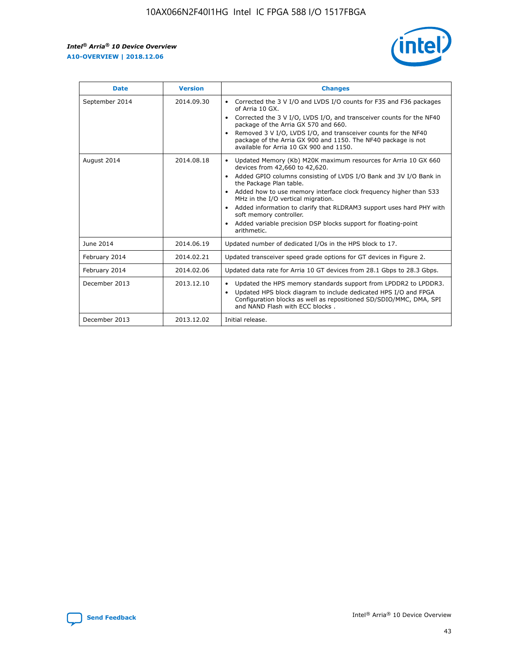r



| <b>Date</b>    | <b>Version</b> | <b>Changes</b>                                                                                                                                                                                                                                                                                                                                                                                                                                                                                                                                      |
|----------------|----------------|-----------------------------------------------------------------------------------------------------------------------------------------------------------------------------------------------------------------------------------------------------------------------------------------------------------------------------------------------------------------------------------------------------------------------------------------------------------------------------------------------------------------------------------------------------|
| September 2014 | 2014.09.30     | Corrected the 3 V I/O and LVDS I/O counts for F35 and F36 packages<br>$\bullet$<br>of Arria 10 GX.<br>Corrected the 3 V I/O, LVDS I/O, and transceiver counts for the NF40<br>$\bullet$<br>package of the Arria GX 570 and 660.<br>Removed 3 V I/O, LVDS I/O, and transceiver counts for the NF40<br>package of the Arria GX 900 and 1150. The NF40 package is not<br>available for Arria 10 GX 900 and 1150.                                                                                                                                       |
| August 2014    | 2014.08.18     | Updated Memory (Kb) M20K maximum resources for Arria 10 GX 660<br>devices from 42,660 to 42,620.<br>Added GPIO columns consisting of LVDS I/O Bank and 3V I/O Bank in<br>$\bullet$<br>the Package Plan table.<br>Added how to use memory interface clock frequency higher than 533<br>$\bullet$<br>MHz in the I/O vertical migration.<br>Added information to clarify that RLDRAM3 support uses hard PHY with<br>$\bullet$<br>soft memory controller.<br>Added variable precision DSP blocks support for floating-point<br>$\bullet$<br>arithmetic. |
| June 2014      | 2014.06.19     | Updated number of dedicated I/Os in the HPS block to 17.                                                                                                                                                                                                                                                                                                                                                                                                                                                                                            |
| February 2014  | 2014.02.21     | Updated transceiver speed grade options for GT devices in Figure 2.                                                                                                                                                                                                                                                                                                                                                                                                                                                                                 |
| February 2014  | 2014.02.06     | Updated data rate for Arria 10 GT devices from 28.1 Gbps to 28.3 Gbps.                                                                                                                                                                                                                                                                                                                                                                                                                                                                              |
| December 2013  | 2013.12.10     | Updated the HPS memory standards support from LPDDR2 to LPDDR3.<br>Updated HPS block diagram to include dedicated HPS I/O and FPGA<br>$\bullet$<br>Configuration blocks as well as repositioned SD/SDIO/MMC, DMA, SPI<br>and NAND Flash with ECC blocks.                                                                                                                                                                                                                                                                                            |
| December 2013  | 2013.12.02     | Initial release.                                                                                                                                                                                                                                                                                                                                                                                                                                                                                                                                    |